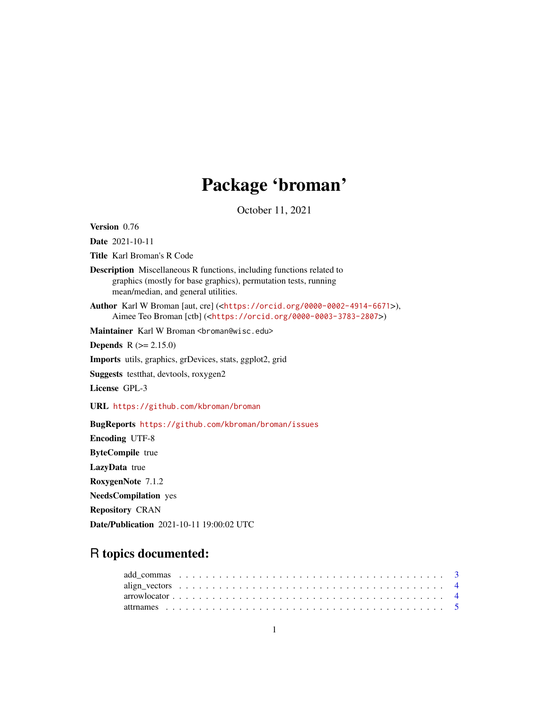# Package 'broman'

October 11, 2021

<span id="page-0-0"></span>Version 0.76

Date 2021-10-11

Title Karl Broman's R Code

Description Miscellaneous R functions, including functions related to graphics (mostly for base graphics), permutation tests, running mean/median, and general utilities.

Author Karl W Broman [aut, cre] (<<https://orcid.org/0000-0002-4914-6671>>), Aimee Teo Broman [ctb] (<<https://orcid.org/0000-0003-3783-2807>>)

Maintainer Karl W Broman <br />
coman@wisc.edu>

**Depends**  $R (= 2.15.0)$ 

Imports utils, graphics, grDevices, stats, ggplot2, grid

Suggests testthat, devtools, roxygen2

License GPL-3

URL <https://github.com/kbroman/broman>

BugReports <https://github.com/kbroman/broman/issues>

Encoding UTF-8 ByteCompile true LazyData true RoxygenNote 7.1.2 NeedsCompilation yes Repository CRAN Date/Publication 2021-10-11 19:00:02 UTC

## R topics documented: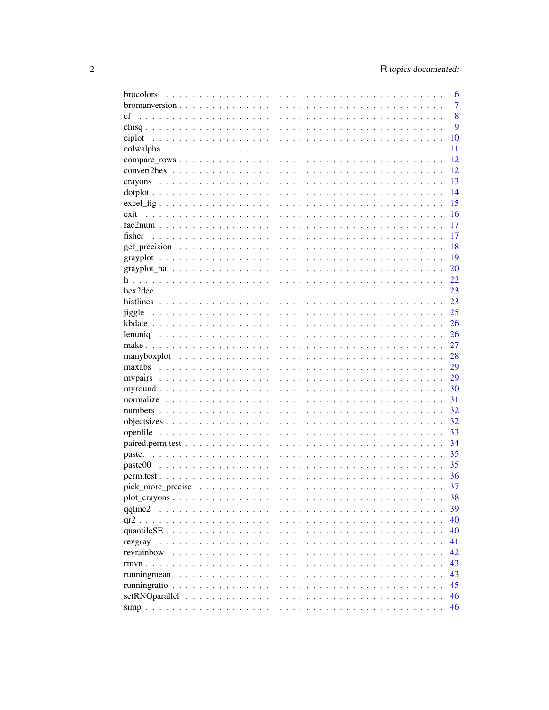| brocolors   | 6              |
|-------------|----------------|
|             | $\overline{7}$ |
| cf          | 8              |
|             | 9              |
| ciplot      | 10             |
|             | 11             |
|             | 12             |
|             | 12             |
|             | 13             |
|             | 14             |
|             | 15             |
| exit        | 16             |
|             | 17             |
| fisher      | 17             |
|             | 18             |
|             | 19             |
|             | 20             |
|             | 22             |
|             | 23             |
|             | 23             |
| jiggle      | 25             |
|             | 26             |
| lenuniq     | 26             |
|             | 27             |
|             |                |
|             | 28<br>29       |
| maxabs      |                |
|             | 29             |
|             | 30             |
|             | 31             |
|             | 32             |
|             | 32             |
|             | 33             |
|             | 34             |
|             | 35             |
|             | 35             |
|             | 36             |
|             | 37             |
|             | 38             |
| qqline2     | 39             |
|             | 40             |
|             | 40             |
| revgray     | 41             |
| revrainbow  | 42             |
|             | 43             |
| runningmean | 43             |
|             | 45             |
|             | 46             |
|             | 46             |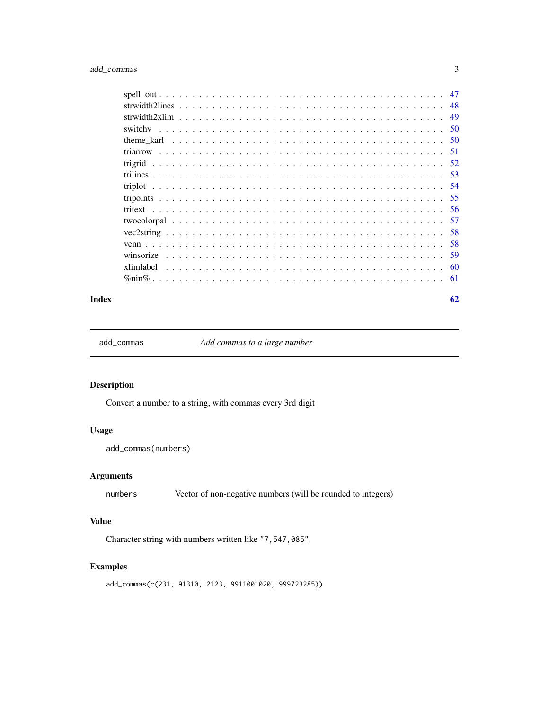### <span id="page-2-0"></span>add\_commas 3

| 48 |
|----|
|    |
|    |
|    |
|    |
|    |
|    |
|    |
|    |
|    |
|    |
|    |
|    |
| 59 |
|    |
|    |

#### $\blacksquare$  Index  $\blacksquare$

add\_commas *Add commas to a large number*

### Description

Convert a number to a string, with commas every 3rd digit

### Usage

add\_commas(numbers)

### Arguments

numbers Vector of non-negative numbers (will be rounded to integers)

### Value

Character string with numbers written like "7,547,085".

### Examples

add\_commas(c(231, 91310, 2123, 9911001020, 999723285))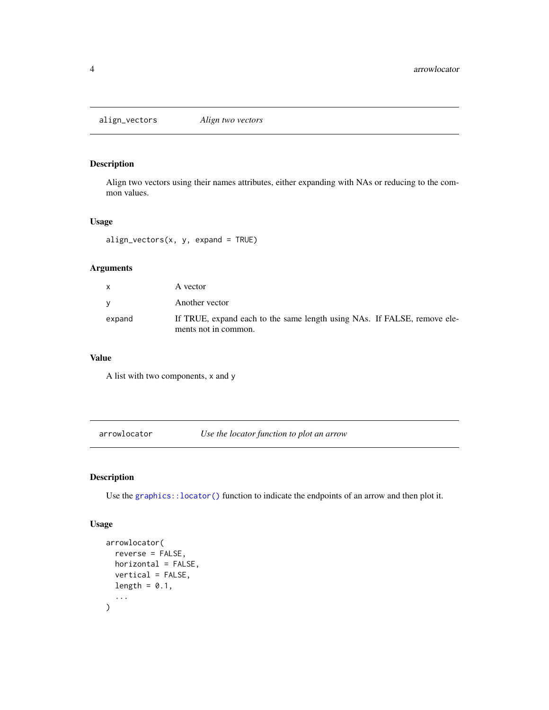<span id="page-3-0"></span>align\_vectors *Align two vectors*

#### Description

Align two vectors using their names attributes, either expanding with NAs or reducing to the common values.

#### Usage

 $align\_vectors(x, y, expand = TRUE)$ 

### Arguments

| <b>X</b> | A vector                                                                                         |
|----------|--------------------------------------------------------------------------------------------------|
| v        | Another vector                                                                                   |
| expand   | If TRUE, expand each to the same length using NAs. If FALSE, remove ele-<br>ments not in common. |

#### Value

A list with two components, x and y

arrowlocator *Use the locator function to plot an arrow*

### Description

Use the [graphics::locator\(\)](#page-0-0) function to indicate the endpoints of an arrow and then plot it.

#### Usage

```
arrowlocator(
  reverse = FALSE,
  horizontal = FALSE,
  vertical = FALSE,
  length = 0.1,
  ...
\mathcal{L}
```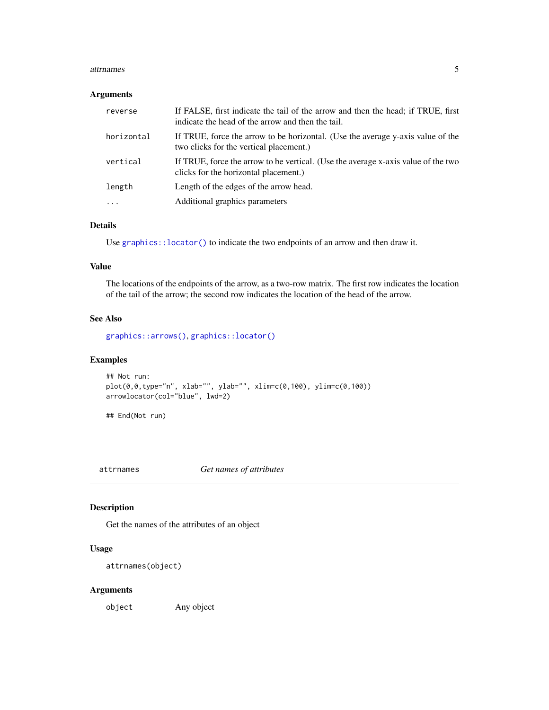#### <span id="page-4-0"></span>attrnames 5

#### Arguments

| reverse    | If FALSE, first indicate the tail of the arrow and then the head; if TRUE, first<br>indicate the head of the arrow and then the tail. |
|------------|---------------------------------------------------------------------------------------------------------------------------------------|
| horizontal | If TRUE, force the arrow to be horizontal. (Use the average y-axis value of the<br>two clicks for the vertical placement.)            |
| vertical   | If TRUE, force the arrow to be vertical. (Use the average x-axis value of the two<br>clicks for the horizontal placement.)            |
| length     | Length of the edges of the arrow head.                                                                                                |
| $\cdot$    | Additional graphics parameters                                                                                                        |

### Details

Use [graphics::locator\(\)](#page-0-0) to indicate the two endpoints of an arrow and then draw it.

### Value

The locations of the endpoints of the arrow, as a two-row matrix. The first row indicates the location of the tail of the arrow; the second row indicates the location of the head of the arrow.

#### See Also

[graphics::arrows\(\)](#page-0-0), [graphics::locator\(\)](#page-0-0)

### Examples

```
## Not run:
plot(0,0,type="n", xlab="", ylab="", xlim=c(0,100), ylim=c(0,100))
arrowlocator(col="blue", lwd=2)
```
## End(Not run)

attrnames *Get names of attributes*

### Description

Get the names of the attributes of an object

### Usage

```
attrnames(object)
```
### Arguments

object Any object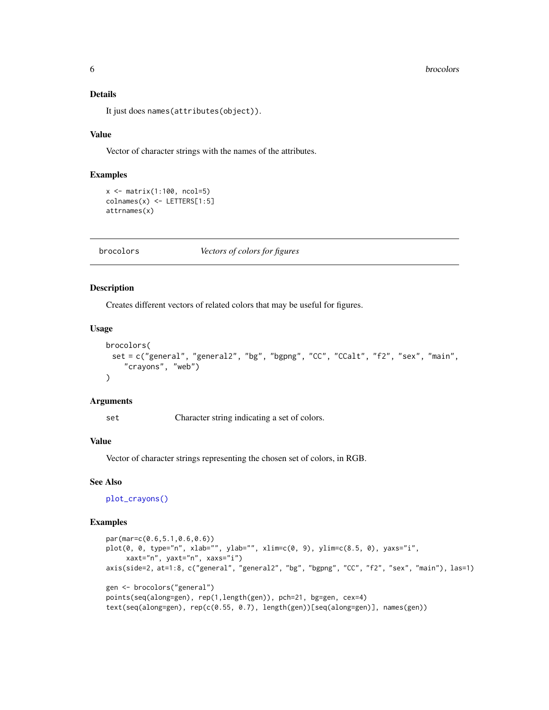#### <span id="page-5-0"></span>Details

It just does names(attributes(object)).

#### Value

Vector of character strings with the names of the attributes.

#### Examples

```
x \leftarrow \text{matrix}(1:100, \text{ncol}=5)colnames(x) <- LETTERS[1:5]
attrnames(x)
```
<span id="page-5-1"></span>brocolors *Vectors of colors for figures*

#### Description

Creates different vectors of related colors that may be useful for figures.

#### Usage

```
brocolors(
 set = c("general", "general2", "bg", "bgpng", "CC", "CCalt", "f2", "sex", "main",
    "crayons", "web")
)
```
#### Arguments

set Character string indicating a set of colors.

### Value

Vector of character strings representing the chosen set of colors, in RGB.

#### See Also

[plot\\_crayons\(\)](#page-37-1)

```
par(mar=c(0.6,5.1,0.6,0.6))
plot(0, 0, type="n", xlab="", ylab="", xlim=c(0, 9), ylim=c(8.5, 0), yaxs="i",
     xaxt="n", yaxt="n", xaxs="i")
axis(side=2, at=1:8, c("general", "general2", "bg", "bgpng", "CC", "f2", "sex", "main"), las=1)
gen <- brocolors("general")
points(seq(along=gen), rep(1,length(gen)), pch=21, bg=gen, cex=4)
text(seq(along=gen), rep(c(0.55, 0.7), length(gen))[seq(along=gen)], names(gen))
```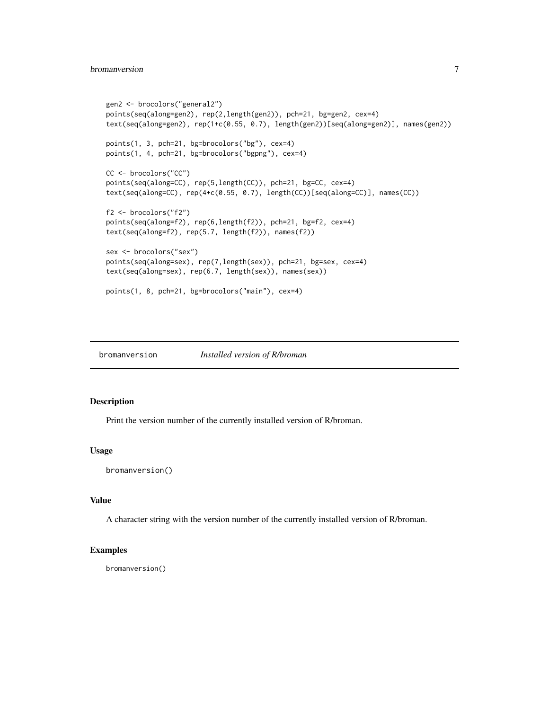#### <span id="page-6-0"></span>bromanversion 7

```
gen2 <- brocolors("general2")
points(seq(along=gen2), rep(2,length(gen2)), pch=21, bg=gen2, cex=4)
text(seq(along=gen2), rep(1+c(0.55, 0.7), length(gen2))[seq(along=gen2)], names(gen2))
points(1, 3, pch=21, bg=brocolors("bg"), cex=4)
points(1, 4, pch=21, bg=brocolors("bgpng"), cex=4)
CC <- brocolors("CC")
points(seq(along=CC), rep(5,length(CC)), pch=21, bg=CC, cex=4)
text(seq(along=CC), rep(4+c(0.55, 0.7), length(CC))[seq(along=CC)], names(CC))
f2 <- brocolors("f2")
points(seq(along=f2), rep(6,length(f2)), pch=21, bg=f2, cex=4)
text(seq(along=f2), rep(5.7, length(f2)), names(f2))
sex <- brocolors("sex")
points(seq(along=sex), rep(7,length(sex)), pch=21, bg=sex, cex=4)
text(seq(along=sex), rep(6.7, length(sex)), names(sex))
points(1, 8, pch=21, bg=brocolors("main"), cex=4)
```
bromanversion *Installed version of R/broman*

#### Description

Print the version number of the currently installed version of R/broman.

#### Usage

```
bromanversion()
```
### Value

A character string with the version number of the currently installed version of R/broman.

#### Examples

bromanversion()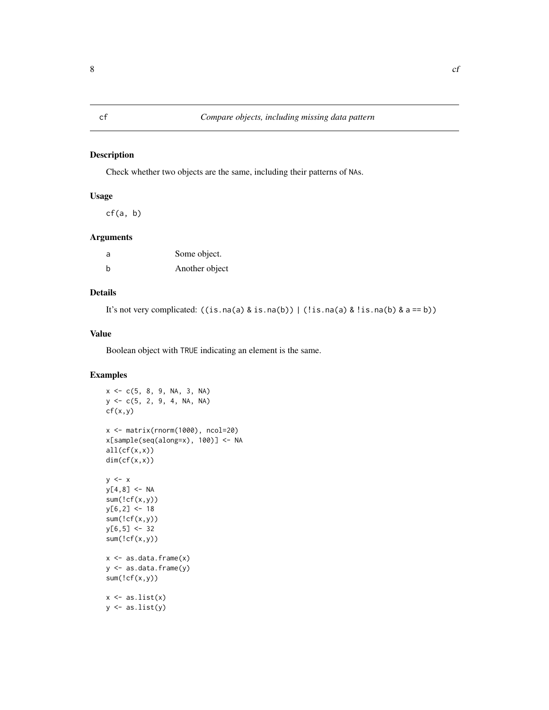<span id="page-7-0"></span>Check whether two objects are the same, including their patterns of NAs.

### Usage

 $cf(a, b)$ 

#### Arguments

| a | Some object.   |
|---|----------------|
| b | Another object |

### Details

It's not very complicated:  $((is.na(a) & is.na(b)) | (!is.na(a) & is.na(b) & as == b))$ 

#### Value

Boolean object with TRUE indicating an element is the same.

```
x \leq -c(5, 8, 9, NA, 3, NA)y \leq -c(5, 2, 9, 4, NA, NA)cf(x,y)x <- matrix(rnorm(1000), ncol=20)
x[sample(seq(along=x), 100)] <- NA
all(cf(x,x))
dim(cf(x,x))
y \leq -xy[4,8] < -NAsum('cf(x,y))y[6,2] < -18sum(!cf(x,y))
y[6,5] < -32sum('cf(x,y))x \leftarrow as.data-frame(x)y <- as.data.frame(y)
sum('cf(x,y))x \leftarrow as.list(x)y \leftarrow as.list(y)
```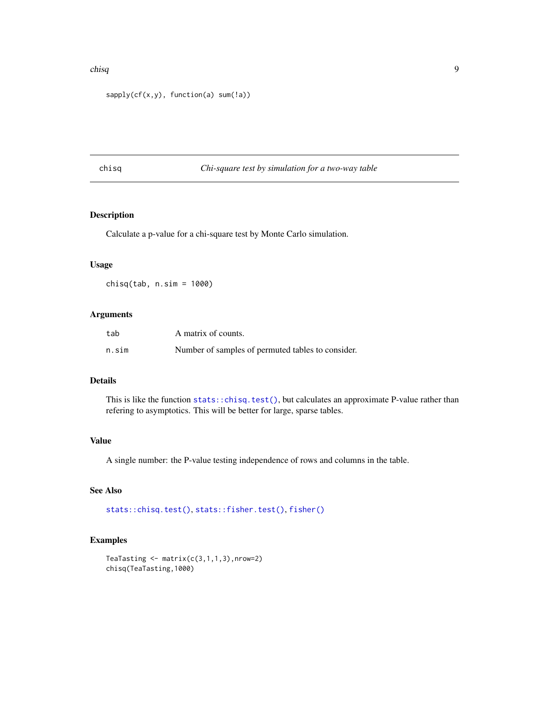#### <span id="page-8-0"></span>chisq 9

```
sapply(cf(x,y), function(a) sum(!a))
```
#### <span id="page-8-1"></span>chisq *Chi-square test by simulation for a two-way table*

### Description

Calculate a p-value for a chi-square test by Monte Carlo simulation.

#### Usage

 $chisq(tab, n.sim = 1000)$ 

#### Arguments

| tab   | A matrix of counts.                               |
|-------|---------------------------------------------------|
| n.sim | Number of samples of permuted tables to consider. |

### Details

This is like the function [stats::chisq.test\(\)](#page-0-0), but calculates an approximate P-value rather than refering to asymptotics. This will be better for large, sparse tables.

#### Value

A single number: the P-value testing independence of rows and columns in the table.

#### See Also

[stats::chisq.test\(\)](#page-0-0), [stats::fisher.test\(\)](#page-0-0), [fisher\(\)](#page-16-1)

```
TeaTasting \leq matrix(c(3,1,1,3), nrow=2)
chisq(TeaTasting,1000)
```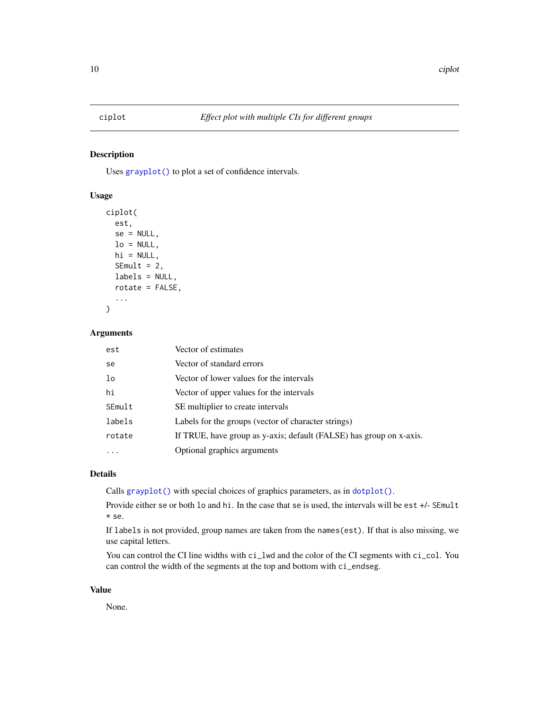<span id="page-9-0"></span>Uses [grayplot\(\)](#page-18-1) to plot a set of confidence intervals.

#### Usage

```
ciplot(
  est,
  se = NULL,lo = NULL,hi = NULL,SEmult = 2,
  labels = NULL,
  rotate = FALSE,
  ...
)
```
### Arguments

| est    | Vector of estimates                                                 |
|--------|---------------------------------------------------------------------|
| se     | Vector of standard errors                                           |
| lo     | Vector of lower values for the intervals                            |
| hi     | Vector of upper values for the intervals                            |
| SEmult | SE multiplier to create intervals                                   |
| labels | Labels for the groups (vector of character strings)                 |
| rotate | If TRUE, have group as y-axis; default (FALSE) has group on x-axis. |
|        | Optional graphics arguments                                         |

#### Details

Calls [grayplot\(\)](#page-18-1) with special choices of graphics parameters, as in [dotplot\(\)](#page-13-1).

Provide either se or both lo and hi. In the case that se is used, the intervals will be est +/- SEmult \* se.

If labels is not provided, group names are taken from the names(est). If that is also missing, we use capital letters.

You can control the CI line widths with  $ci$ <sub>-</sub>lwd and the color of the CI segments with ci<sub>-col</sub>. You can control the width of the segments at the top and bottom with ci\_endseg.

#### Value

None.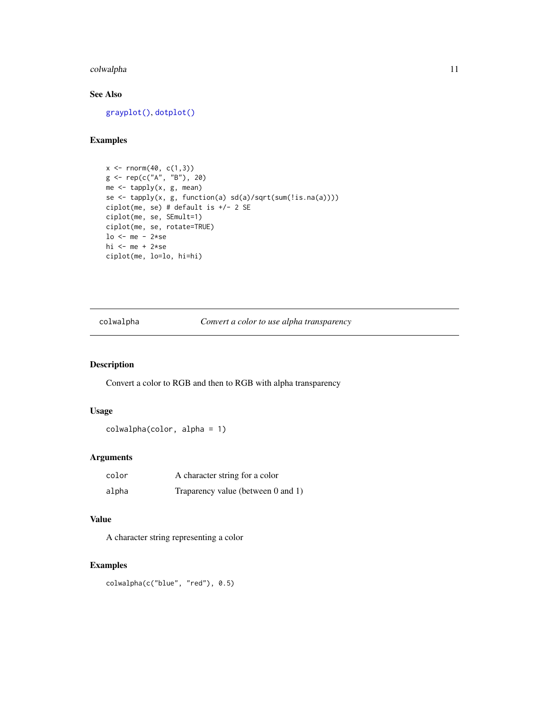### <span id="page-10-0"></span>colwalpha 11

### See Also

[grayplot\(\)](#page-18-1), [dotplot\(\)](#page-13-1)

### Examples

```
x \le - rnorm(40, c(1,3))
g <- rep(c("A", "B"), 20)
me <- tapply(x, g, mean)
se <- tapply(x, g, function(a) sd(a)/sqrt(sum(!is.na(a))))
ciplot(me, se) # default is +/- 2 SE
ciplot(me, se, SEmult=1)
ciplot(me, se, rotate=TRUE)
lo \le me - 2*sehi <- me + 2*seciplot(me, lo=lo, hi=hi)
```
colwalpha *Convert a color to use alpha transparency*

### Description

Convert a color to RGB and then to RGB with alpha transparency

#### Usage

```
colwalpha(color, alpha = 1)
```
### Arguments

| color | A character string for a color     |
|-------|------------------------------------|
| alpha | Traparency value (between 0 and 1) |

### Value

A character string representing a color

### Examples

colwalpha(c("blue", "red"), 0.5)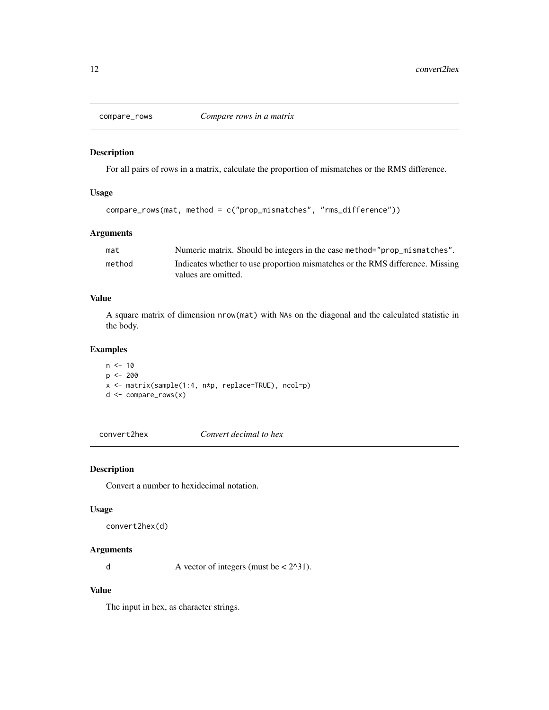<span id="page-11-0"></span>

For all pairs of rows in a matrix, calculate the proportion of mismatches or the RMS difference.

### Usage

```
compare_rows(mat, method = c("prop_mismatches", "rms_difference"))
```
#### Arguments

| mat    | Numeric matrix. Should be integers in the case method="prop_mismatches".      |
|--------|-------------------------------------------------------------------------------|
| method | Indicates whether to use proportion mismatches or the RMS difference. Missing |
|        | values are omitted.                                                           |

#### Value

A square matrix of dimension nrow(mat) with NAs on the diagonal and the calculated statistic in the body.

### Examples

 $n < -10$  $p$  <- 200 x <- matrix(sample(1:4, n\*p, replace=TRUE), ncol=p) d <- compare\_rows(x)

convert2hex *Convert decimal to hex*

#### <span id="page-11-1"></span>Description

Convert a number to hexidecimal notation.

#### Usage

convert2hex(d)

#### Arguments

d A vector of integers (must be  $\lt$  2^31).

### Value

The input in hex, as character strings.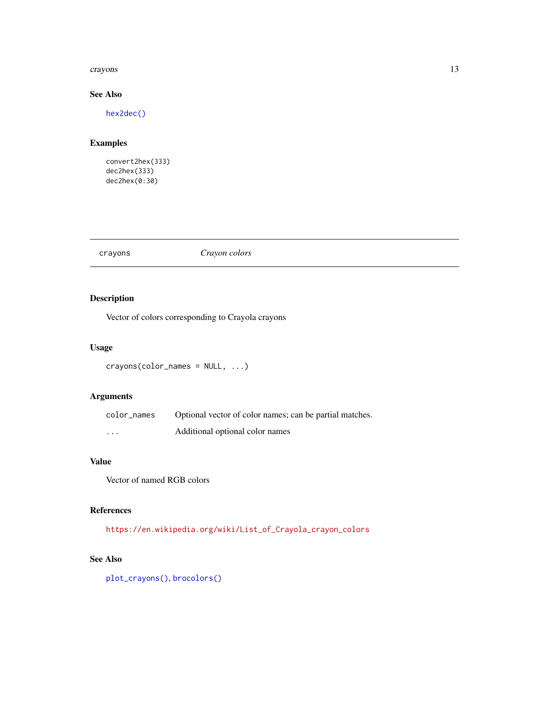#### <span id="page-12-0"></span>crayons and the contract of the contract of the contract of the contract of the contract of the contract of the contract of the contract of the contract of the contract of the contract of the contract of the contract of th

### See Also

[hex2dec\(\)](#page-22-1)

### Examples

convert2hex(333) dec2hex(333) dec2hex(0:30)

crayons *Crayon colors*

### Description

Vector of colors corresponding to Crayola crayons

### Usage

```
crayons(color_names = NULL, ...)
```
### Arguments

| color_names | Optional vector of color names; can be partial matches. |
|-------------|---------------------------------------------------------|
| $\cdots$    | Additional optional color names                         |

#### Value

Vector of named RGB colors

### References

[https://en.wikipedia.org/wiki/List\\_of\\_Crayola\\_crayon\\_colors](https://en.wikipedia.org/wiki/List_of_Crayola_crayon_colors)

### See Also

[plot\\_crayons\(\)](#page-37-1), [brocolors\(\)](#page-5-1)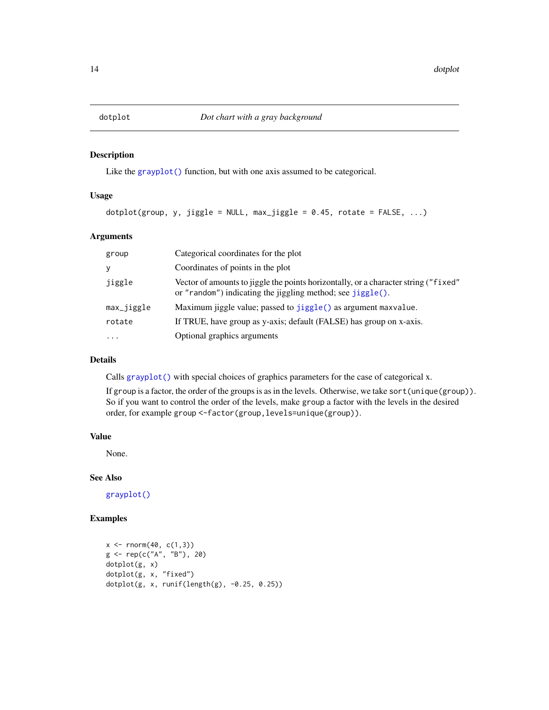<span id="page-13-1"></span><span id="page-13-0"></span>Like the grayplot () function, but with one axis assumed to be categorical.

#### Usage

```
dot(group, y, jiggle = NULL, max_jiggle = 0.45, rotate = FALSE, ...)
```
### Arguments

| group      | Categorical coordinates for the plot                                                                                                              |
|------------|---------------------------------------------------------------------------------------------------------------------------------------------------|
| У          | Coordinates of points in the plot                                                                                                                 |
| jiggle     | Vector of amounts to jiggle the points horizontally, or a character string ("fixed"<br>or "random") indicating the jiggling method; see jiggle(). |
| max_jiggle | Maximum jiggle value; passed to jiggle() as argument maxvalue.                                                                                    |
| rotate     | If TRUE, have group as y-axis; default (FALSE) has group on x-axis.                                                                               |
|            | Optional graphics arguments                                                                                                                       |

### Details

Calls [grayplot\(\)](#page-18-1) with special choices of graphics parameters for the case of categorical x.

If group is a factor, the order of the groups is as in the levels. Otherwise, we take sort(unique(group)). So if you want to control the order of the levels, make group a factor with the levels in the desired order, for example group <-factor(group,levels=unique(group)).

#### Value

None.

### See Also

[grayplot\(\)](#page-18-1)

```
x \le rnorm(40, c(1,3))
g <- rep(c("A", "B"), 20)
dotplot(g, x)
dotplot(g, x, "fixed")
dotplot(g, x, runif(length(g), -0.25, 0.25))
```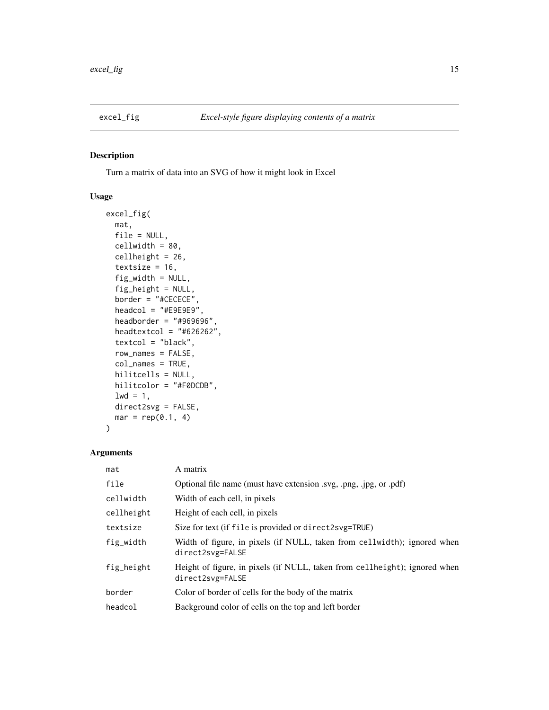<span id="page-14-0"></span>

Turn a matrix of data into an SVG of how it might look in Excel

### Usage

```
excel_fig(
 mat,
 file = NULL,
  cellwidth = 80,
  cellheight = 26,
  textsize = 16,
  fig_width = NULL,
  fig_height = NULL,
 border = "#CECECE",
  headcol = "#E9E9E9",
  headborder = "#969696"headtextcol = "#626262",
  textcol = "black",
  row_names = FALSE,
  col_names = TRUE,
  hilitcells = NULL,
 hilitcolor = "#F0DCDB",
 1wd = 1,direct2svg = FALSE,
 mar = rep(0.1, 4)\mathcal{L}
```
### Arguments

| mat        | A matrix                                                                                       |
|------------|------------------------------------------------------------------------------------------------|
| file       | Optional file name (must have extension .svg, .png, .jpg, or .pdf)                             |
| cellwidth  | Width of each cell, in pixels                                                                  |
| cellheight | Height of each cell, in pixels                                                                 |
| textsize   | Size for text (if file is provided or direct2svg=TRUE)                                         |
| fig_width  | Width of figure, in pixels (if NULL, taken from cellwidth); ignored when<br>direct2svg=FALSE   |
| fig_height | Height of figure, in pixels (if NULL, taken from cellheight); ignored when<br>direct2svg=FALSE |
| border     | Color of border of cells for the body of the matrix                                            |
| headcol    | Background color of cells on the top and left border                                           |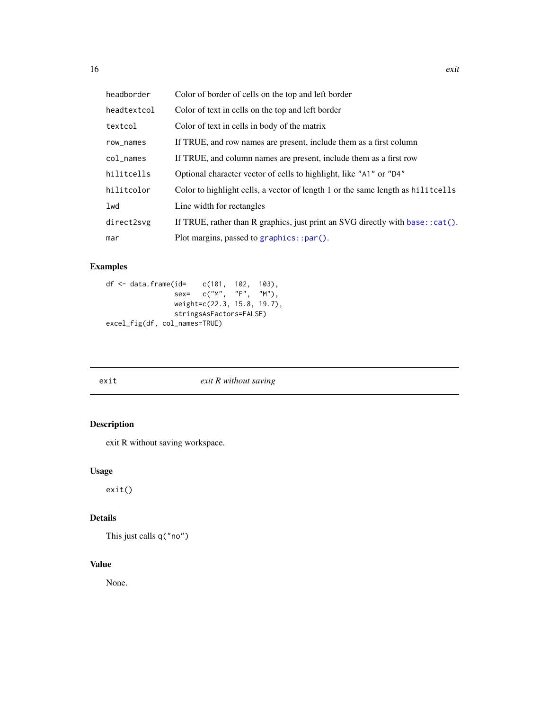<span id="page-15-0"></span>

| headborder  | Color of border of cells on the top and left border                               |
|-------------|-----------------------------------------------------------------------------------|
| headtextcol | Color of text in cells on the top and left border                                 |
| textcol     | Color of text in cells in body of the matrix                                      |
| row_names   | If TRUE, and row names are present, include them as a first column                |
| col_names   | If TRUE, and column names are present, include them as a first row                |
| hilitcells  | Optional character vector of cells to highlight, like "A1" or "D4"                |
| hilitcolor  | Color to highlight cells, a vector of length 1 or the same length as hilit cells  |
| lwd         | Line width for rectangles                                                         |
| direct2svg  | If TRUE, rather than R graphics, just print an SVG directly with base: $:cat()$ . |
| mar         | Plot margins, passed to graphics::par().                                          |

### Examples

```
df <- data.frame(id= c(101, 102, 103),
                sex= c("M", "F", "M"),
                weight=c(22.3, 15.8, 19.7),
                stringsAsFactors=FALSE)
excel_fig(df, col_names=TRUE)
```
exit *exit R without saving*

### Description

exit R without saving workspace.

### Usage

exit()

## Details

This just calls q("no")

### Value

None.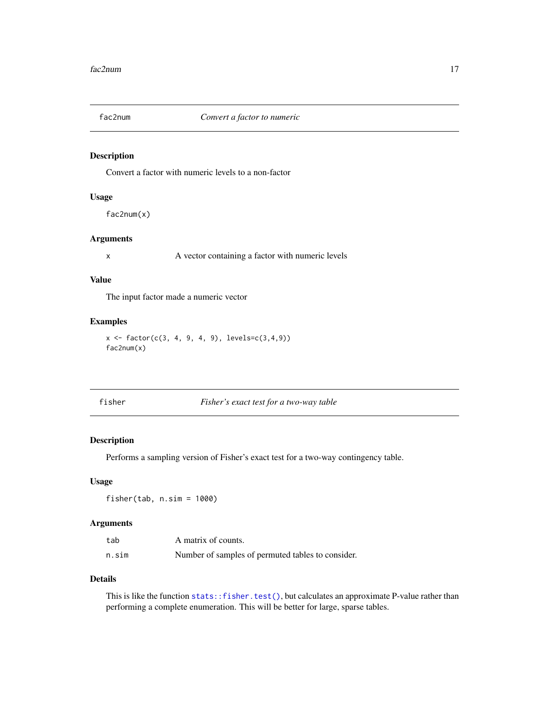<span id="page-16-0"></span>

Convert a factor with numeric levels to a non-factor

### Usage

fac2num(x)

#### Arguments

x A vector containing a factor with numeric levels

#### Value

The input factor made a numeric vector

### Examples

```
x <- factor(c(3, 4, 9, 4, 9), levels=c(3,4,9))
fac2num(x)
```
<span id="page-16-1"></span>fisher *Fisher's exact test for a two-way table*

#### Description

Performs a sampling version of Fisher's exact test for a two-way contingency table.

#### Usage

fisher(tab, n.sim = 1000)

#### Arguments

| tab   | A matrix of counts.                               |
|-------|---------------------------------------------------|
| n.sim | Number of samples of permuted tables to consider. |

#### Details

This is like the function [stats::fisher.test\(\)](#page-0-0), but calculates an approximate P-value rather than performing a complete enumeration. This will be better for large, sparse tables.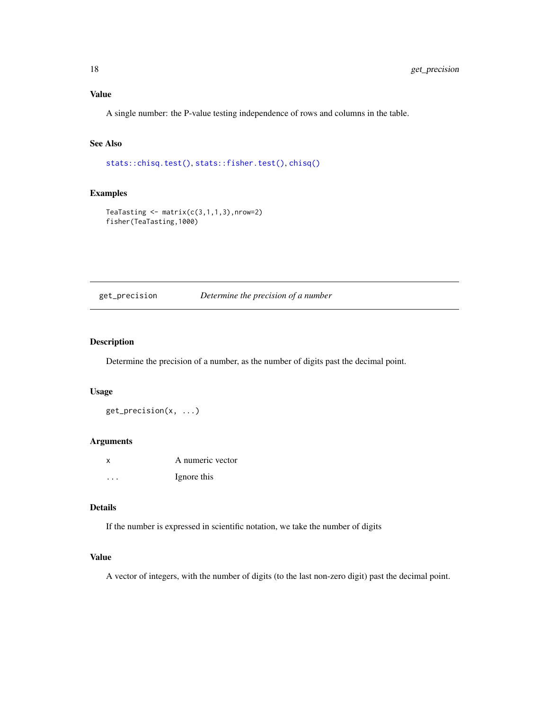<span id="page-17-0"></span>A single number: the P-value testing independence of rows and columns in the table.

### See Also

[stats::chisq.test\(\)](#page-0-0), [stats::fisher.test\(\)](#page-0-0), [chisq\(\)](#page-8-1)

#### Examples

```
TeaTasting \leq matrix(c(3,1,1,3), nrow=2)
fisher(TeaTasting,1000)
```
### get\_precision *Determine the precision of a number*

#### Description

Determine the precision of a number, as the number of digits past the decimal point.

#### Usage

get\_precision(x, ...)

#### Arguments

| X | A numeric vector |
|---|------------------|
| . | Ignore this      |

#### Details

If the number is expressed in scientific notation, we take the number of digits

### Value

A vector of integers, with the number of digits (to the last non-zero digit) past the decimal point.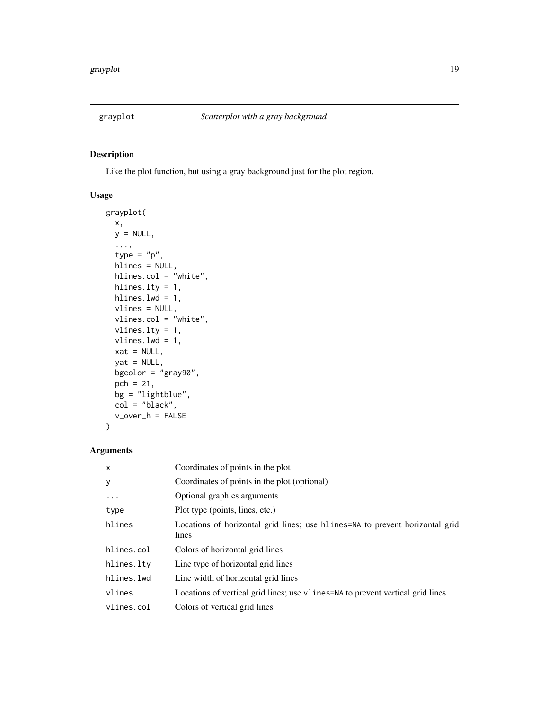<span id="page-18-1"></span><span id="page-18-0"></span>

Like the plot function, but using a gray background just for the plot region.

### Usage

```
grayplot(
 x,
 y = NULL,...,
  type = "p",hlines = NULL,
 hlines.col = "white",
 hlines.lty = 1,
 hlines.lwd = 1,
 vlines = NULL,
  vlines.col = "white",
  vlines.lty = 1,
  vlines.lwd = 1,
 xat = NULL,yat = NULL,bgcolor = "gray90",
 pch = 21,
 bg = "lightblue",
 col = "black",
  v_over_h = FALSE
\mathcal{L}
```
### Arguments

| $\mathsf{x}$ | Coordinates of points in the plot                                                     |
|--------------|---------------------------------------------------------------------------------------|
| У            | Coordinates of points in the plot (optional)                                          |
| .            | Optional graphics arguments                                                           |
| type         | Plot type (points, lines, etc.)                                                       |
| hlines       | Locations of horizontal grid lines; use hlines=NA to prevent horizontal grid<br>lines |
| hlines.col   | Colors of horizontal grid lines                                                       |
| hlines.lty   | Line type of horizontal grid lines                                                    |
| hlines.lwd   | Line width of horizontal grid lines                                                   |
| vlines       | Locations of vertical grid lines; use v1 ines = NA to prevent vertical grid lines     |
| vlines.col   | Colors of vertical grid lines                                                         |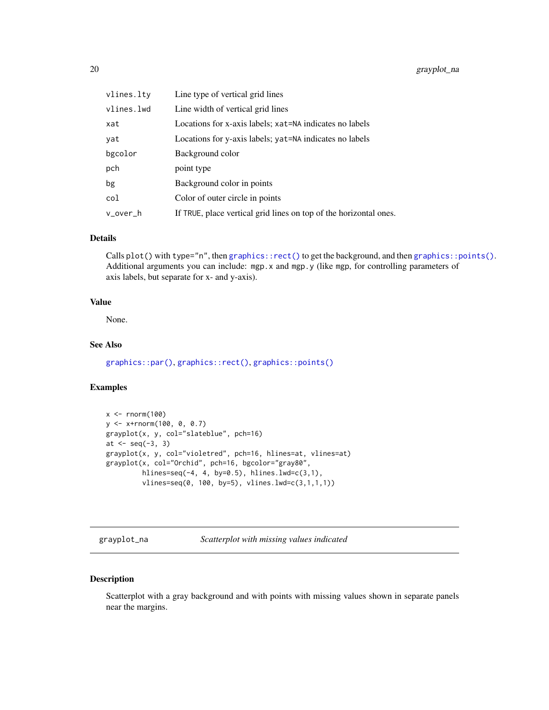<span id="page-19-0"></span>

| vlines.lty | Line type of vertical grid lines                                  |
|------------|-------------------------------------------------------------------|
| vlines.lwd | Line width of vertical grid lines                                 |
| xat        | Locations for x-axis labels; xat=NA indicates no labels           |
| yat        | Locations for y-axis labels; yat=NA indicates no labels           |
| bgcolor    | Background color                                                  |
| pch        | point type                                                        |
| bg         | Background color in points                                        |
| col        | Color of outer circle in points                                   |
| v over h   | If TRUE, place vertical grid lines on top of the horizontal ones. |

#### Details

Calls plot() with type="n", then [graphics::rect\(\)](#page-0-0) to get the background, and then [graphics::points\(\)](#page-0-0). Additional arguments you can include: mgp.x and mgp.y (like mgp, for controlling parameters of axis labels, but separate for x- and y-axis).

#### Value

None.

### See Also

[graphics::par\(\)](#page-0-0), [graphics::rect\(\)](#page-0-0), [graphics::points\(\)](#page-0-0)

#### Examples

```
x < - rnorm(100)
y <- x+rnorm(100, 0, 0.7)
grayplot(x, y, col="slateblue", pch=16)
at <- seq(-3, 3)
grayplot(x, y, col="violetred", pch=16, hlines=at, vlines=at)
grayplot(x, col="Orchid", pch=16, bgcolor="gray80",
        hlines=seq(-4, 4, by=0.5), hlines.lwd=c(3,1),
        vlines=seq(0, 100, by=5), vlines.lwd=c(3,1,1,1))
```
grayplot\_na *Scatterplot with missing values indicated*

### Description

Scatterplot with a gray background and with points with missing values shown in separate panels near the margins.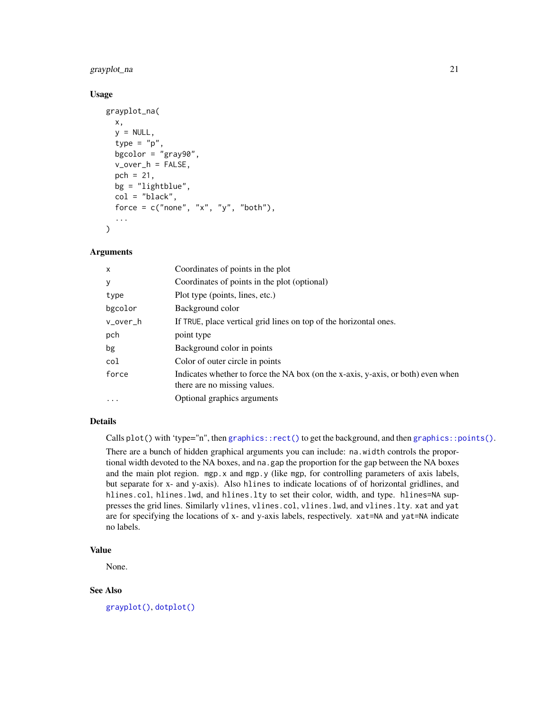### <span id="page-20-0"></span>grayplot\_na 21

#### Usage

```
grayplot_na(
  x,
  y = NULL,type = "p",
  bgcolor = "gray90",
  v_over_h = FALSE,
  pch = 21,
  bg = "lightblue",
  col = "black",force = c("none", "x", "y", "both"),...
\mathcal{L}
```
#### Arguments

| $\mathsf{x}$      | Coordinates of points in the plot                                                |
|-------------------|----------------------------------------------------------------------------------|
| У                 | Coordinates of points in the plot (optional)                                     |
| type              | Plot type (points, lines, etc.)                                                  |
| bgcolor           | Background color                                                                 |
| v_over_h          | If TRUE, place vertical grid lines on top of the horizontal ones.                |
| pch               | point type                                                                       |
| bg                | Background color in points                                                       |
| col               | Color of outer circle in points                                                  |
| force             | Indicates whether to force the NA box (on the x-axis, y-axis, or both) even when |
|                   | there are no missing values.                                                     |
| $\cdot\cdot\cdot$ | Optional graphics arguments                                                      |

#### Details

Calls plot() with 'type="n", then [graphics::rect\(\)](#page-0-0) to get the background, and then [graphics::points\(\)](#page-0-0).

There are a bunch of hidden graphical arguments you can include: na.width controls the proportional width devoted to the NA boxes, and na.gap the proportion for the gap between the NA boxes and the main plot region. mgp.x and mgp.y (like mgp, for controlling parameters of axis labels, but separate for x- and y-axis). Also hlines to indicate locations of of horizontal gridlines, and hlines.col, hlines.lwd, and hlines.lty to set their color, width, and type. hlines=NA suppresses the grid lines. Similarly vlines, vlines.col, vlines.lwd, and vlines.lty. xat and yat are for specifying the locations of x- and y-axis labels, respectively. xat=NA and yat=NA indicate no labels.

### Value

None.

#### See Also

[grayplot\(\)](#page-18-1), [dotplot\(\)](#page-13-1)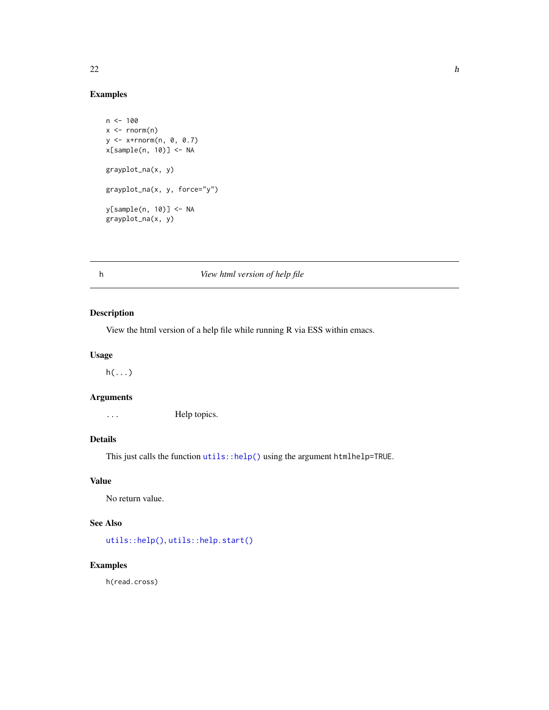#### Examples

```
n < - 100x \leq -rnorm(n)y <- x+rnorm(n, 0, 0.7)
x[sample(n, 10)] <- NA
grayplot_na(x, y)
grayplot_na(x, y, force="y")
y[sample(n, 10)] <- NA
grayplot_na(x, y)
```
### h *View html version of help file*

### Description

View the html version of a help file while running R via ESS within emacs.

### Usage

 $h(\ldots)$ 

### Arguments

... Help topics.

### Details

This just calls the function [utils::help\(\)](#page-0-0) using the argument htmlhelp=TRUE.

#### Value

No return value.

### See Also

[utils::help\(\)](#page-0-0), [utils::help.start\(\)](#page-0-0)

### Examples

h(read.cross)

<span id="page-21-0"></span>22 h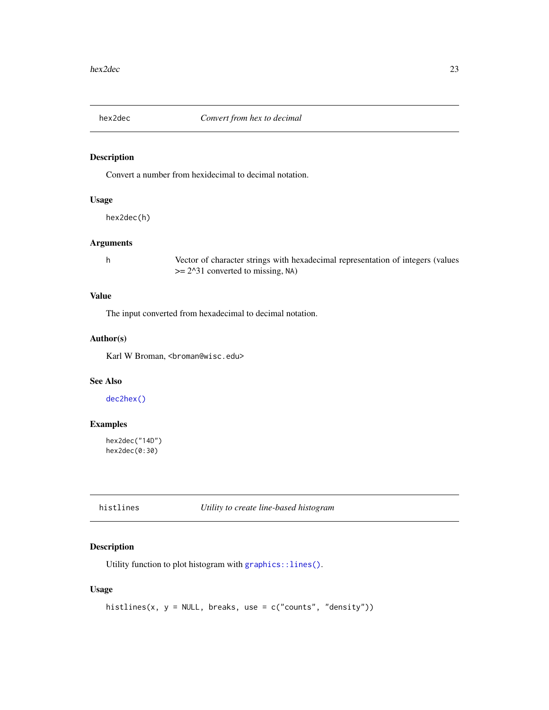<span id="page-22-1"></span><span id="page-22-0"></span>

Convert a number from hexidecimal to decimal notation.

### Usage

hex2dec(h)

### Arguments

h Vector of character strings with hexadecimal representation of integers (values >= 2^31 converted to missing, NA)

### Value

The input converted from hexadecimal to decimal notation.

#### Author(s)

Karl W Broman, <br />
throman@wisc.edu>

### See Also

[dec2hex\(\)](#page-11-1)

### Examples

hex2dec("14D") hex2dec(0:30)

histlines *Utility to create line-based histogram*

### Description

Utility function to plot histogram with [graphics::lines\(\)](#page-0-0).

#### Usage

```
histlines(x, y = NULL, breaks, use = c("counts", "density"))
```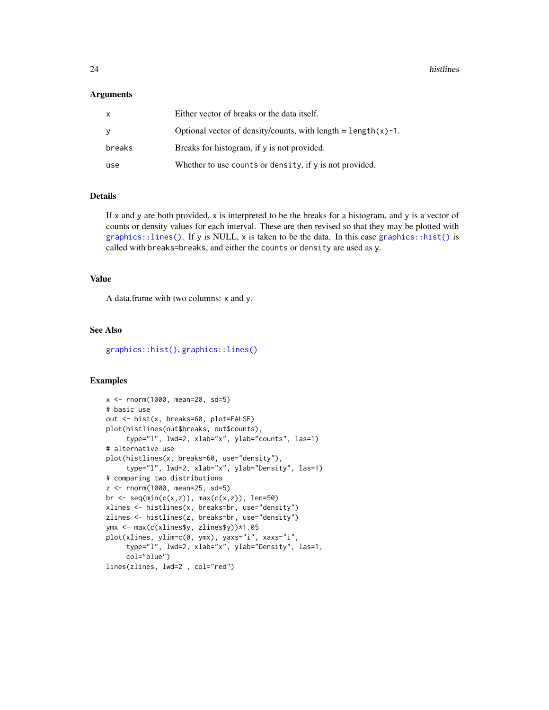#### <span id="page-23-0"></span>Arguments

| X      | Either vector of breaks or the data itself.                         |
|--------|---------------------------------------------------------------------|
| y      | Optional vector of density/counts, with length $=$ length $(x)$ -1. |
| breaks | Breaks for histogram, if y is not provided.                         |
| use    | Whether to use counts or density, if y is not provided.             |

#### Details

If x and y are both provided, x is interpreted to be the breaks for a histogram, and y is a vector of counts or density values for each interval. These are then revised so that they may be plotted with  $graphics::lines()$ . If y is NULL, x is taken to be the data. In this case [graphics::hist\(\)](#page-0-0) is called with breaks=breaks, and either the counts or density are used as y.

#### Value

A data.frame with two columns: x and y.

### See Also

[graphics::hist\(\)](#page-0-0), [graphics::lines\(\)](#page-0-0)

```
x <- rnorm(1000, mean=20, sd=5)
# basic use
out <- hist(x, breaks=60, plot=FALSE)
plot(histlines(out$breaks, out$counts),
     type="l", lwd=2, xlab="x", ylab="counts", las=1)
# alternative use
plot(histlines(x, breaks=60, use="density"),
     type="l", lwd=2, xlab="x", ylab="Density", las=1)
# comparing two distributions
z <- rnorm(1000, mean=25, sd=5)
br \leq seq(min(c(x,z)), max(c(x,z)), len=50)
xlines <- histlines(x, breaks=br, use="density")
zlines <- histlines(z, breaks=br, use="density")
ymx <- max(c(xlines$y, zlines$y))*1.05
plot(xlines, ylim=c(0, ymx), yaxs="i", xaxs="i",
     type="l", lwd=2, xlab="x", ylab="Density", las=1,
     col="blue")
lines(zlines, lwd=2 , col="red")
```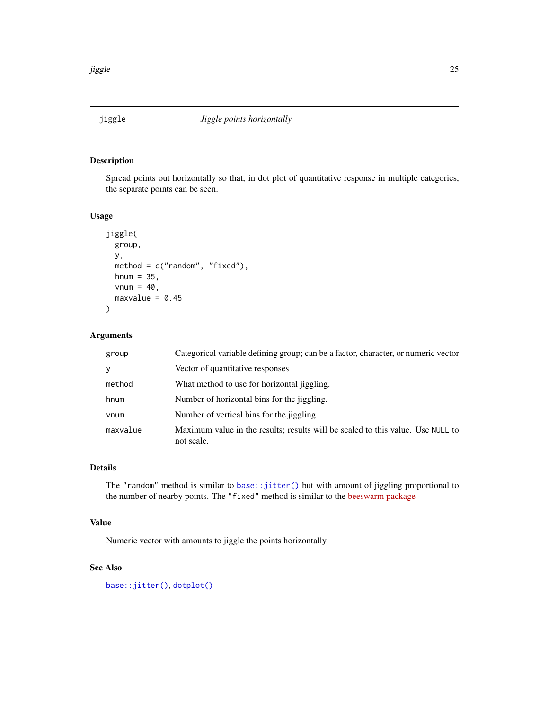<span id="page-24-1"></span><span id="page-24-0"></span>

Spread points out horizontally so that, in dot plot of quantitative response in multiple categories, the separate points can be seen.

#### Usage

```
jiggle(
 group,
 y,
 method = c("random", "fixed"),
 hnum = 35,
 vnum = 40,
 maxvalue = 0.45)
```
### Arguments

| group    | Categorical variable defining group; can be a factor, character, or numeric vector            |
|----------|-----------------------------------------------------------------------------------------------|
| У        | Vector of quantitative responses                                                              |
| method   | What method to use for horizontal jiggling.                                                   |
| hnum     | Number of horizontal bins for the jiggling.                                                   |
| vnum     | Number of vertical bins for the jiggling.                                                     |
| maxvalue | Maximum value in the results; results will be scaled to this value. Use NULL to<br>not scale. |

#### Details

The "random" method is similar to [base::jitter\(\)](#page-0-0) but with amount of jiggling proportional to the number of nearby points. The "fixed" method is similar to the [beeswarm package](https://www.cbs.dtu.dk/~eklund/beeswarm/)

#### Value

Numeric vector with amounts to jiggle the points horizontally

### See Also

[base::jitter\(\)](#page-0-0), [dotplot\(\)](#page-13-1)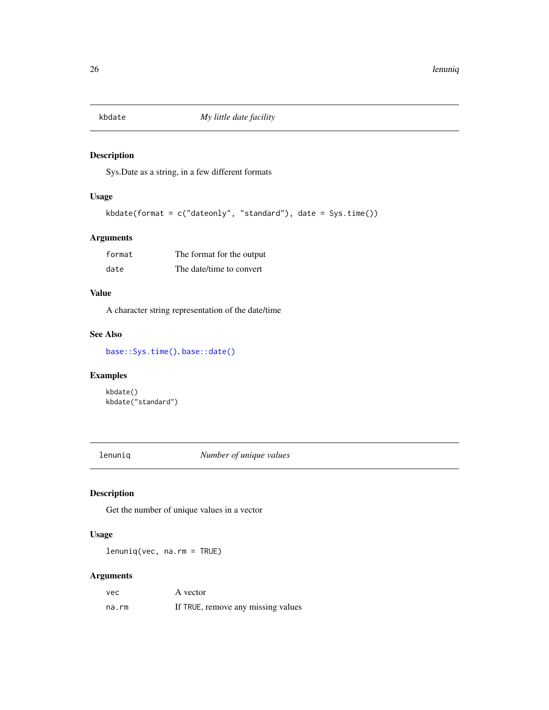<span id="page-25-0"></span>

Sys.Date as a string, in a few different formats

#### Usage

```
kbdate(format = c("dateonly", "standard"), date = Sys.time())
```
### Arguments

| format | The format for the output |
|--------|---------------------------|
| date   | The date/time to convert  |

### Value

A character string representation of the date/time

### See Also

[base::Sys.time\(\)](#page-0-0), [base::date\(\)](#page-0-0)

### Examples

kbdate() kbdate("standard")

lenuniq *Number of unique values*

### Description

Get the number of unique values in a vector

### Usage

lenuniq(vec, na.rm = TRUE)

### Arguments

| vec   | A vector                           |
|-------|------------------------------------|
| na.rm | If TRUE, remove any missing values |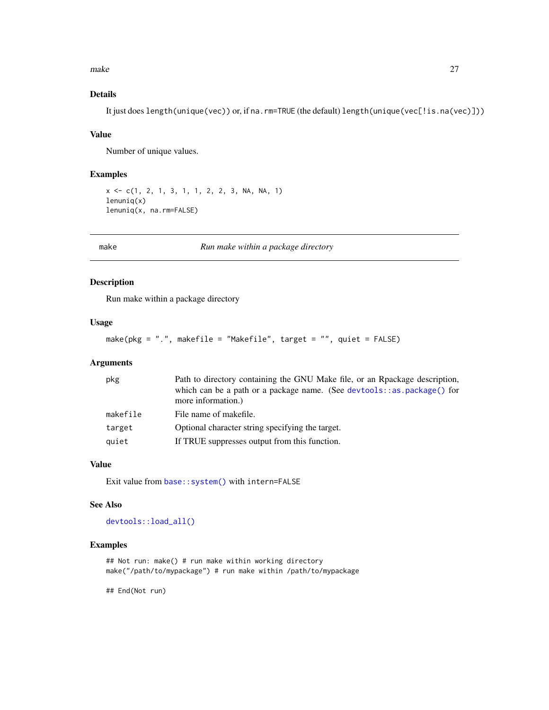<span id="page-26-0"></span>make 27

### Details

It just does length(unique(vec)) or, if na.rm=TRUE (the default) length(unique(vec[!is.na(vec)]))

#### Value

Number of unique values.

#### Examples

```
x <- c(1, 2, 1, 3, 1, 1, 2, 2, 3, NA, NA, 1)
lenuniq(x)
lenuniq(x, na.rm=FALSE)
```
make *Run make within a package directory*

#### Description

Run make within a package directory

#### Usage

```
make(pkg = ".", makefile = "Makefile", target = "", quiet = FALSE)
```
### Arguments

| pkg      | Path to directory containing the GNU Make file, or an Rpackage description,                  |
|----------|----------------------------------------------------------------------------------------------|
|          | which can be a path or a package name. (See devtools::as.package() for<br>more information.) |
| makefile | File name of makefile.                                                                       |
| target   | Optional character string specifying the target.                                             |
| quiet    | If TRUE suppresses output from this function.                                                |

#### Value

Exit value from [base::system\(\)](#page-0-0) with intern=FALSE

#### See Also

[devtools::load\\_all\(\)](#page-0-0)

### Examples

## Not run: make() # run make within working directory make("/path/to/mypackage") # run make within /path/to/mypackage

## End(Not run)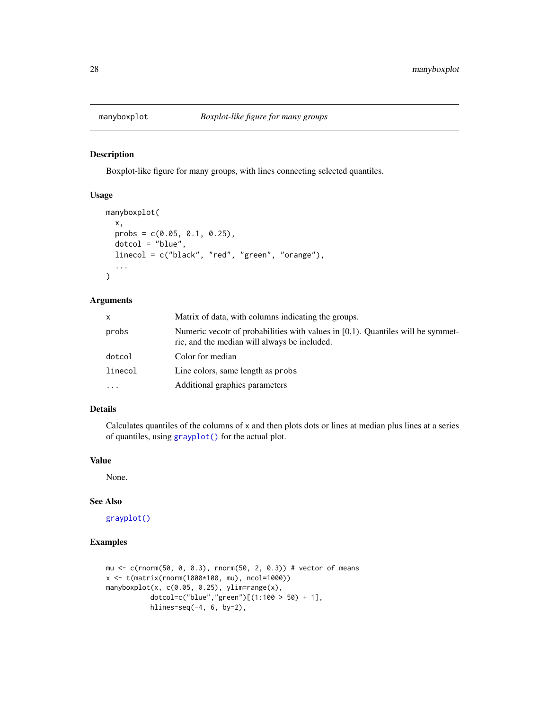<span id="page-27-0"></span>

Boxplot-like figure for many groups, with lines connecting selected quantiles.

#### Usage

```
manyboxplot(
  x,
 probs = c(0.05, 0.1, 0.25),
  dotcol = "blue",linecol = c("black", "red", "green", "orange"),
  ...
\mathcal{L}
```
#### Arguments

| x        | Matrix of data, with columns indicating the groups.                                                                                |
|----------|------------------------------------------------------------------------------------------------------------------------------------|
| probs    | Numeric vecotr of probabilities with values in $[0,1)$ . Quantiles will be symmet-<br>ric, and the median will always be included. |
| dotcol   | Color for median                                                                                                                   |
| linecol  | Line colors, same length as probs                                                                                                  |
| $\cdots$ | Additional graphics parameters                                                                                                     |

#### Details

Calculates quantiles of the columns of x and then plots dots or lines at median plus lines at a series of quantiles, using [grayplot\(\)](#page-18-1) for the actual plot.

### Value

None.

#### See Also

[grayplot\(\)](#page-18-1)

```
mu <- c(rnorm(50, 0, 0.3), rnorm(50, 2, 0.3)) # vector of means
x <- t(matrix(rnorm(1000*100, mu), ncol=1000))
manyboxplot(x, c(0.05, 0.25), ylim=range(x),
           dotcol=c("blue","green")[(1:100 > 50) + 1],
          hlines=seq(-4, 6, by=2),
```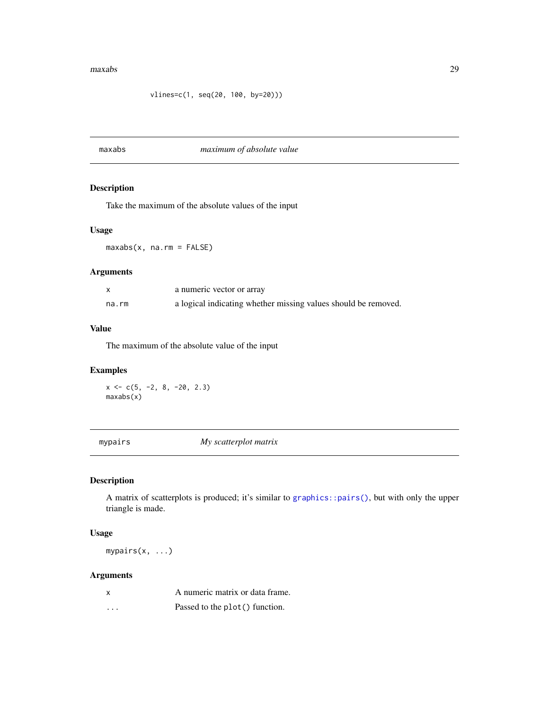#### <span id="page-28-0"></span>maxabs 29

maxabs *maximum of absolute value*

### Description

Take the maximum of the absolute values of the input

### Usage

maxabs(x, na.rm = FALSE)

### Arguments

|       | a numeric vector or array                                      |
|-------|----------------------------------------------------------------|
| na.rm | a logical indicating whether missing values should be removed. |

### Value

The maximum of the absolute value of the input

### Examples

 $x \leftarrow c(5, -2, 8, -20, 2.3)$ maxabs(x)

mypairs *My scatterplot matrix*

### Description

A matrix of scatterplots is produced; it's similar to [graphics::pairs\(\)](#page-0-0), but with only the upper triangle is made.

### Usage

mypairs(x, ...)

### Arguments

|          | A numeric matrix or data frame. |
|----------|---------------------------------|
| $\cdots$ | Passed to the plot() function.  |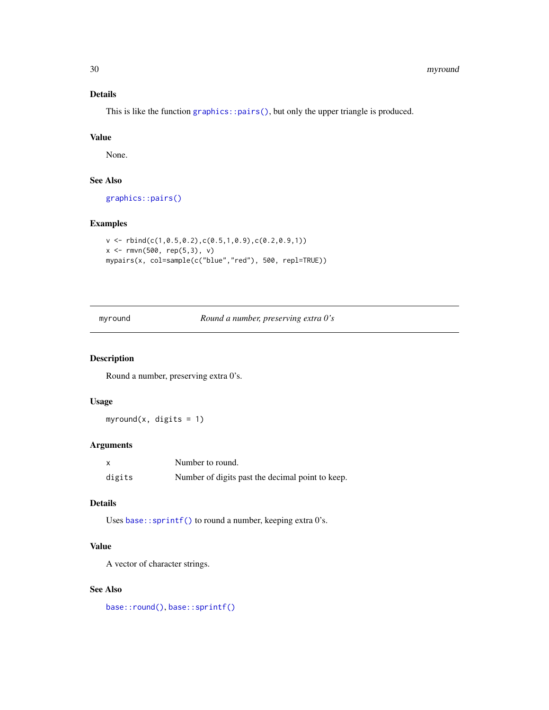### Details

This is like the function [graphics::pairs\(\)](#page-0-0), but only the upper triangle is produced.

#### Value

None.

### See Also

[graphics::pairs\(\)](#page-0-0)

### Examples

```
v \le rbind(c(1,0.5,0.2),c(0.5,1,0.9),c(0.2,0.9,1))
x <- rmvn(500, rep(5,3), v)
mypairs(x, col=sample(c("blue","red"), 500, repl=TRUE))
```
myround *Round a number, preserving extra 0's*

### Description

Round a number, preserving extra 0's.

#### Usage

myround(x, digits =  $1$ )

#### Arguments

| x      | Number to round.                                 |
|--------|--------------------------------------------------|
| digits | Number of digits past the decimal point to keep. |

### Details

Uses base:: sprintf() to round a number, keeping extra 0's.

### Value

A vector of character strings.

### See Also

[base::round\(\)](#page-0-0), [base::sprintf\(\)](#page-0-0)

<span id="page-29-0"></span>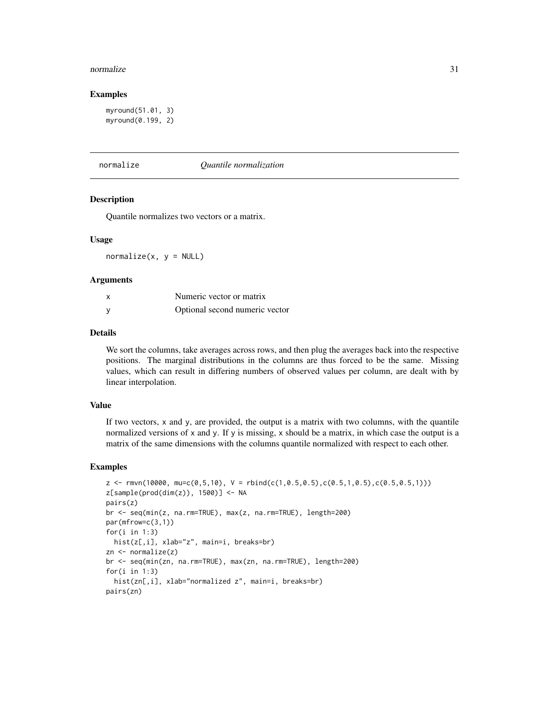#### <span id="page-30-0"></span>normalize 31

#### Examples

```
myround(51.01, 3)
myround(0.199, 2)
```
normalize *Quantile normalization*

### Description

Quantile normalizes two vectors or a matrix.

#### Usage

 $normalize(x, y = NULL)$ 

#### **Arguments**

| X | Numeric vector or matrix       |
|---|--------------------------------|
| У | Optional second numeric vector |

#### Details

We sort the columns, take averages across rows, and then plug the averages back into the respective positions. The marginal distributions in the columns are thus forced to be the same. Missing values, which can result in differing numbers of observed values per column, are dealt with by linear interpolation.

#### Value

If two vectors, x and y, are provided, the output is a matrix with two columns, with the quantile normalized versions of x and y. If y is missing, x should be a matrix, in which case the output is a matrix of the same dimensions with the columns quantile normalized with respect to each other.

```
z \leftarrow \text{rm}(10000, \text{mu}=c(0.5,10), \text{V} = \text{rbind}(c(1,0.5,0.5), c(0.5,1,0.5), c(0.5,0.5,1)))z[sample(prod(dim(z)), 1500)] <- NA
pairs(z)
br <- seq(min(z, na.rm=TRUE), max(z, na.rm=TRUE), length=200)
par(mfrow=c(3,1))
for(i in 1:3)
  hist(z[,i], xlab="z", main=i, breaks=br)
zn <- normalize(z)
br <- seq(min(zn, na.rm=TRUE), max(zn, na.rm=TRUE), length=200)
for(i in 1:3)
  hist(zn[,i], xlab="normalized z", main=i, breaks=br)
pairs(zn)
```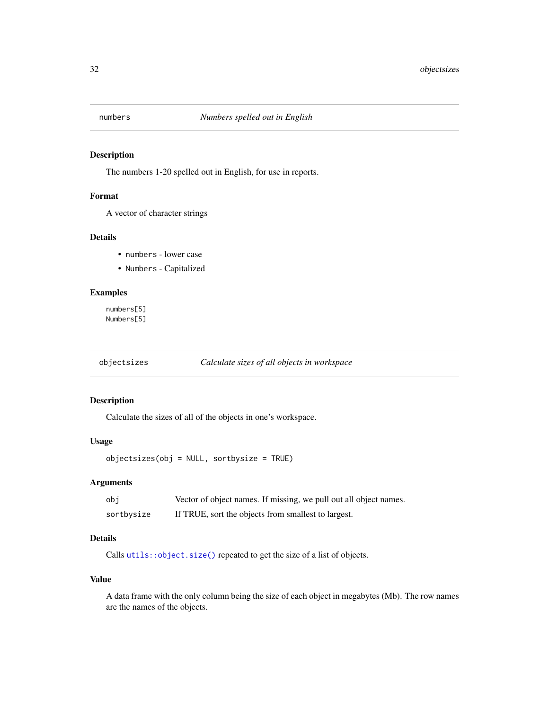<span id="page-31-0"></span>

The numbers 1-20 spelled out in English, for use in reports.

#### Format

A vector of character strings

#### Details

- numbers lower case
- Numbers Capitalized

#### Examples

numbers[5] Numbers[5]

### objectsizes *Calculate sizes of all objects in workspace*

### Description

Calculate the sizes of all of the objects in one's workspace.

#### Usage

objectsizes(obj = NULL, sortbysize = TRUE)

### Arguments

| obi        | Vector of object names. If missing, we pull out all object names. |
|------------|-------------------------------------------------------------------|
| sortbysize | If TRUE, sort the objects from smallest to largest.               |

## Details

Calls [utils::object.size\(\)](#page-0-0) repeated to get the size of a list of objects.

#### Value

A data frame with the only column being the size of each object in megabytes (Mb). The row names are the names of the objects.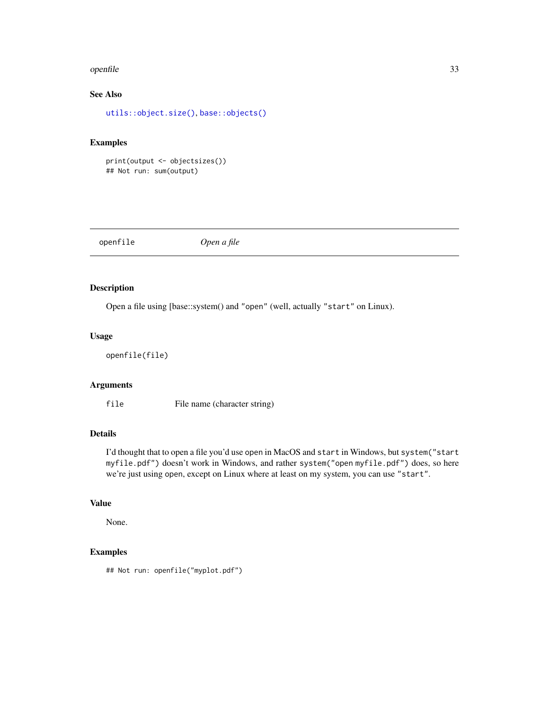#### <span id="page-32-0"></span>openfile 33

### See Also

[utils::object.size\(\)](#page-0-0), [base::objects\(\)](#page-0-0)

### Examples

print(output <- objectsizes()) ## Not run: sum(output)

| openfile | Open a file |
|----------|-------------|
|          |             |

### Description

Open a file using [base::system() and "open" (well, actually "start" on Linux).

### Usage

openfile(file)

### Arguments

file File name (character string)

### Details

I'd thought that to open a file you'd use open in MacOS and start in Windows, but system("start myfile.pdf") doesn't work in Windows, and rather system("open myfile.pdf") does, so here we're just using open, except on Linux where at least on my system, you can use "start".

### Value

None.

### Examples

## Not run: openfile("myplot.pdf")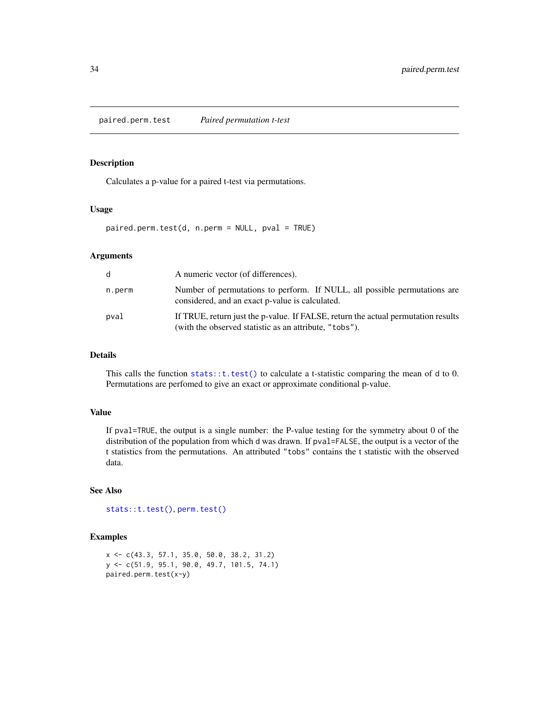<span id="page-33-1"></span><span id="page-33-0"></span>paired.perm.test *Paired permutation t-test*

#### Description

Calculates a p-value for a paired t-test via permutations.

#### Usage

paired.perm.test(d, n.perm = NULL, pval = TRUE)

#### Arguments

| d      | A numeric vector (of differences).                                                                                                          |
|--------|---------------------------------------------------------------------------------------------------------------------------------------------|
| n.perm | Number of permutations to perform. If NULL, all possible permutations are<br>considered, and an exact p-value is calculated.                |
| pval   | If TRUE, return just the p-value. If FALSE, return the actual permutation results<br>(with the observed statistic as an attribute, "tobs"). |

### Details

This calls the function [stats::t.test\(\)](#page-0-0) to calculate a t-statistic comparing the mean of d to 0. Permutations are perfomed to give an exact or approximate conditional p-value.

### Value

If pval=TRUE, the output is a single number: the P-value testing for the symmetry about 0 of the distribution of the population from which d was drawn. If pval=FALSE, the output is a vector of the t statistics from the permutations. An attributed "tobs" contains the t statistic with the observed data.

### See Also

```
stats::t.test(), perm.test()
```

```
x <- c(43.3, 57.1, 35.0, 50.0, 38.2, 31.2)
y <- c(51.9, 95.1, 90.0, 49.7, 101.5, 74.1)
paired.perm.test(x-y)
```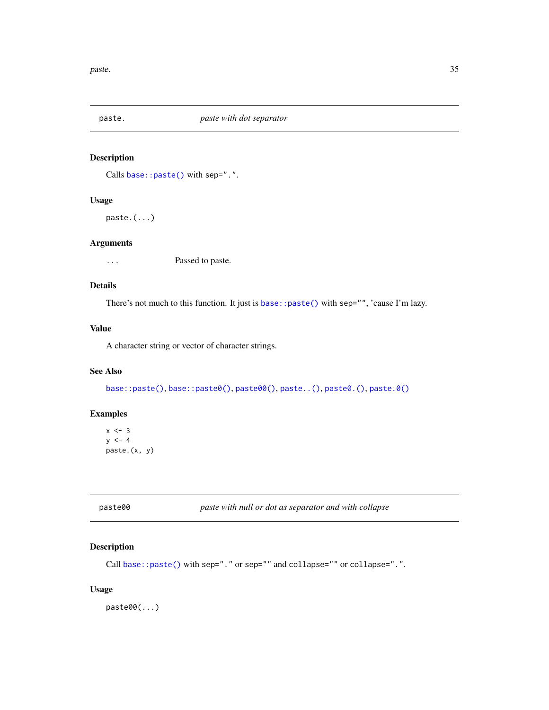<span id="page-34-3"></span><span id="page-34-0"></span>

Calls base:: paste() with sep=".".

### Usage

paste.(...)

### Arguments

... Passed to paste.

### Details

There's not much to this function. It just is [base::paste\(\)](#page-0-0) with sep="", 'cause I'm lazy.

### Value

A character string or vector of character strings.

#### See Also

[base::paste\(\)](#page-0-0), [base::paste0\(\)](#page-0-0), [paste00\(\)](#page-34-1), [paste..\(\)](#page-34-2), [paste0.\(\)](#page-34-2), [paste.0\(\)](#page-34-2)

### Examples

 $x \le -3$  $y \le -4$ paste.(x, y)

<span id="page-34-1"></span>

| paste00 | paste with null or dot as separator and with collapse |
|---------|-------------------------------------------------------|
|         |                                                       |

### <span id="page-34-2"></span>Description

```
base::paste() with sep="." or sep="" and collapse="" or collapse=".".
```
### Usage

paste00(...)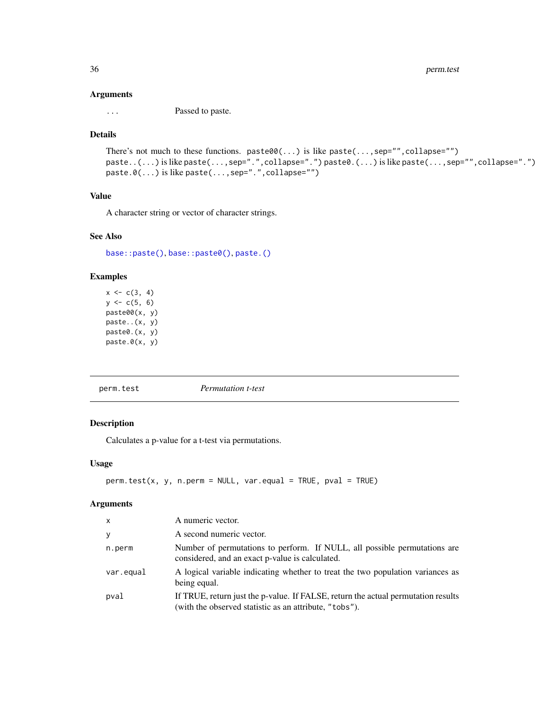<span id="page-35-0"></span>36 perm.test

#### Arguments

... Passed to paste.

### Details

```
There's not much to these functions. paste00(...) is like paste(..., sep="", collapse="")
paste..(...) is like paste(...,sep=".",collapse=".") paste0.(...) is like paste(...,sep="",collapse=".")
paste.0(...) is like paste(...,sep=".",collapse="")
```
### Value

A character string or vector of character strings.

#### See Also

[base::paste\(\)](#page-0-0), [base::paste0\(\)](#page-0-0), [paste.\(\)](#page-34-3)

### Examples

```
x \leq -c(3, 4)y \leq -c(5, 6)paste00(x, y)
paste..(x, y)
paste0.(x, y)
paste.0(x, y)
```
<span id="page-35-1"></span>perm.test *Permutation t-test*

### Description

Calculates a p-value for a t-test via permutations.

#### Usage

```
perm.test(x, y, n.perm = NULL, var.equal = TRUE, pval = TRUE)
```
#### Arguments

| $\times$  | A numeric vector.                                                                                                                           |
|-----------|---------------------------------------------------------------------------------------------------------------------------------------------|
| y         | A second numeric vector.                                                                                                                    |
| n.perm    | Number of permutations to perform. If NULL, all possible permutations are<br>considered, and an exact p-value is calculated.                |
| var.equal | A logical variable indicating whether to treat the two population variances as<br>being equal.                                              |
| pval      | If TRUE, return just the p-value. If FALSE, return the actual permutation results<br>(with the observed statistic as an attribute, "tobs"). |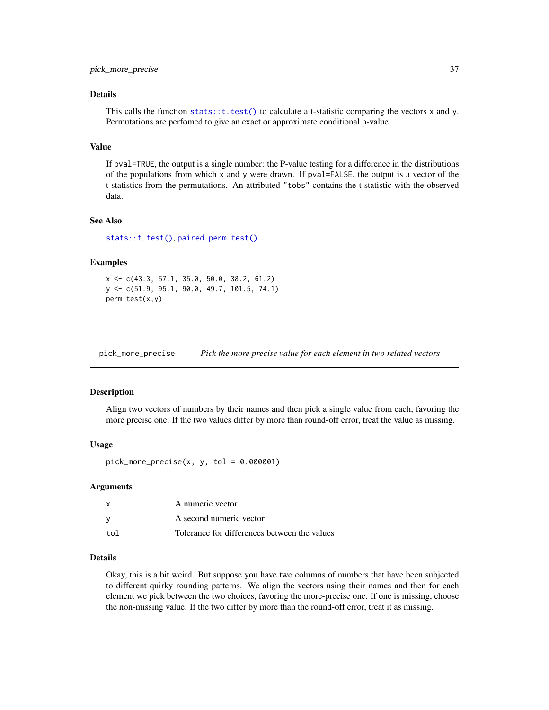#### <span id="page-36-0"></span>Details

This calls the function [stats::t.test\(\)](#page-0-0) to calculate a t-statistic comparing the vectors  $x$  and  $y$ . Permutations are perfomed to give an exact or approximate conditional p-value.

#### Value

If pval=TRUE, the output is a single number: the P-value testing for a difference in the distributions of the populations from which x and y were drawn. If  $pval = FALEE$ , the output is a vector of the t statistics from the permutations. An attributed "tobs" contains the t statistic with the observed data.

#### See Also

[stats::t.test\(\)](#page-0-0), [paired.perm.test\(\)](#page-33-1)

#### Examples

```
x <- c(43.3, 57.1, 35.0, 50.0, 38.2, 61.2)
y <- c(51.9, 95.1, 90.0, 49.7, 101.5, 74.1)
perm.test(x,y)
```
pick\_more\_precise *Pick the more precise value for each element in two related vectors*

#### **Description**

Align two vectors of numbers by their names and then pick a single value from each, favoring the more precise one. If the two values differ by more than round-off error, treat the value as missing.

#### Usage

 $pick_more_p receives(x, y, tol = 0.000001)$ 

#### Arguments

|     | A numeric vector                             |
|-----|----------------------------------------------|
|     | A second numeric vector                      |
| tol | Tolerance for differences between the values |

### Details

Okay, this is a bit weird. But suppose you have two columns of numbers that have been subjected to different quirky rounding patterns. We align the vectors using their names and then for each element we pick between the two choices, favoring the more-precise one. If one is missing, choose the non-missing value. If the two differ by more than the round-off error, treat it as missing.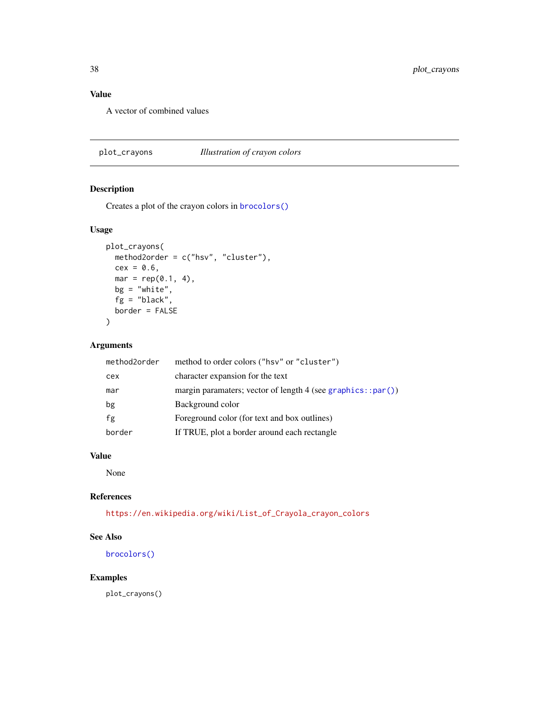### <span id="page-37-0"></span>Value

A vector of combined values

<span id="page-37-1"></span>plot\_crayons *Illustration of crayon colors*

### Description

Creates a plot of the crayon colors in [brocolors\(\)](#page-5-1)

### Usage

```
plot_crayons(
  method2order = c("hsv", "cluster"),
  cex = 0.6,
  mar = rep(0.1, 4),bg = "white",
  fg = "black",
  border = FALSE
\mathcal{L}
```
### Arguments

| method2order | method to order colors ("hsv" or "cluster")                     |
|--------------|-----------------------------------------------------------------|
| cex          | character expansion for the text                                |
| mar          | margin paramaters; vector of length 4 (see graphics:: $par()$ ) |
| bg           | Background color                                                |
| fg           | Foreground color (for text and box outlines)                    |
| border       | If TRUE, plot a border around each rectangle                    |

### Value

None

#### References

[https://en.wikipedia.org/wiki/List\\_of\\_Crayola\\_crayon\\_colors](https://en.wikipedia.org/wiki/List_of_Crayola_crayon_colors)

#### See Also

[brocolors\(\)](#page-5-1)

### Examples

plot\_crayons()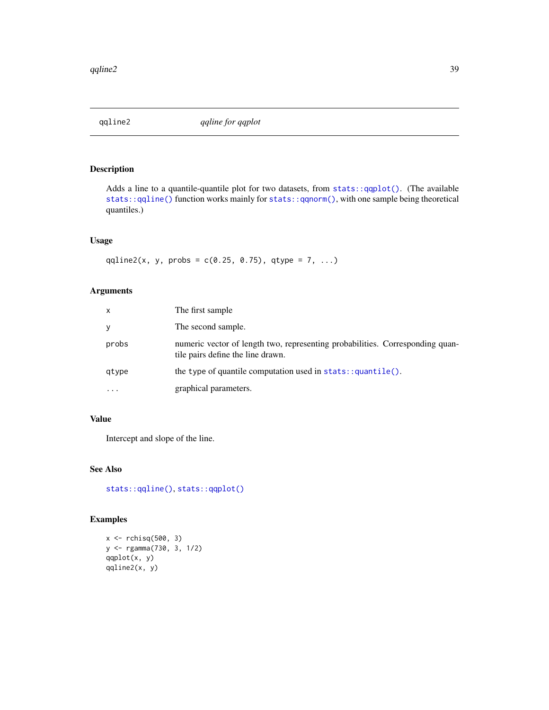<span id="page-38-0"></span>

Adds a line to a quantile-quantile plot for two datasets, from [stats::qqplot\(\)](#page-0-0). (The available [stats::qqline\(\)](#page-0-0) function works mainly for [stats::qqnorm\(\)](#page-0-0), with one sample being theoretical quantiles.)

#### Usage

qqline2(x, y, probs =  $c(0.25, 0.75)$ , qtype = 7, ...)

### Arguments

| x         | The first sample                                                                                                   |
|-----------|--------------------------------------------------------------------------------------------------------------------|
| y         | The second sample.                                                                                                 |
| probs     | numeric vector of length two, representing probabilities. Corresponding quan-<br>tile pairs define the line drawn. |
| qtype     | the type of quantile computation used in $stats::quantile()$ .                                                     |
| $\ddotsc$ | graphical parameters.                                                                                              |

#### Value

Intercept and slope of the line.

### See Also

[stats::qqline\(\)](#page-0-0), [stats::qqplot\(\)](#page-0-0)

```
x \leftarrow rchisq(500, 3)
y <- rgamma(730, 3, 1/2)
qqplot(x, y)
qqline2(x, y)
```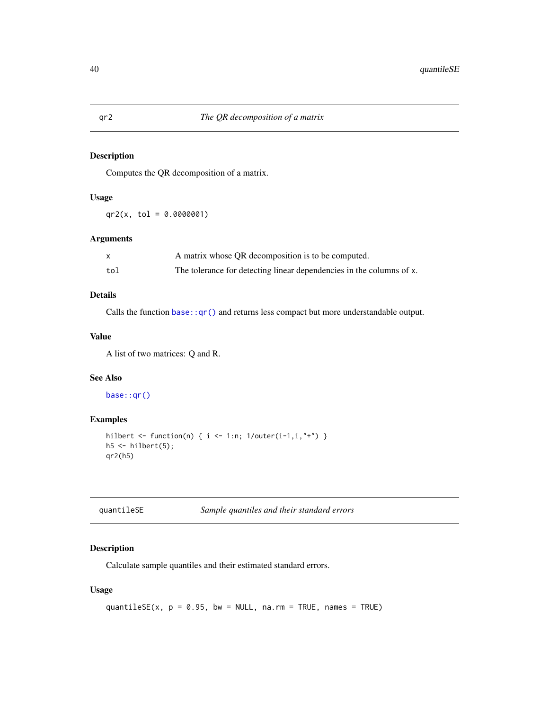Computes the QR decomposition of a matrix.

### Usage

 $qr2(x, tol = 0.0000001)$ 

#### Arguments

|     | A matrix whose QR decomposition is to be computed.                   |
|-----|----------------------------------------------------------------------|
| tol | The tolerance for detecting linear dependencies in the columns of x. |

### Details

Calls the function base:: $qr()$  and returns less compact but more understandable output.

#### Value

A list of two matrices: Q and R.

#### See Also

[base::qr\(\)](#page-0-0)

#### Examples

```
hilbert <- function(n) { i <- 1:n; 1/outer(i-1,i,"+") }
h5 \leq hilbert(5);
qr2(h5)
```

| quantileSE | Sample quantiles and their standard errors |
|------------|--------------------------------------------|
|------------|--------------------------------------------|

### Description

Calculate sample quantiles and their estimated standard errors.

### Usage

```
quantileSE(x, p = 0.95, bw = NULL, na.rm = TRUE, names = TRUE)
```
<span id="page-39-0"></span>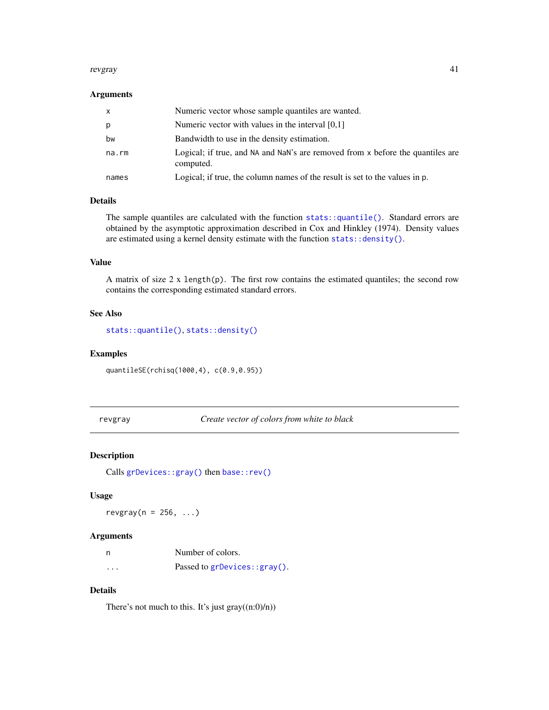#### <span id="page-40-0"></span>revgray 41

#### Arguments

| X     | Numeric vector whose sample quantiles are wanted.                                           |
|-------|---------------------------------------------------------------------------------------------|
| p     | Numeric vector with values in the interval $[0,1]$                                          |
| bw    | Bandwidth to use in the density estimation.                                                 |
| na.rm | Logical; if true, and NA and NaN's are removed from x before the quantiles are<br>computed. |
| names | Logical; if true, the column names of the result is set to the values in p.                 |

#### Details

The sample quantiles are calculated with the function stats:: $quantile()$ . Standard errors are obtained by the asymptotic approximation described in Cox and Hinkley (1974). Density values are estimated using a kernel density estimate with the function [stats::density\(\)](#page-0-0).

#### Value

A matrix of size  $2 \times \text{length}(p)$ . The first row contains the estimated quantiles; the second row contains the corresponding estimated standard errors.

#### See Also

[stats::quantile\(\)](#page-0-0), [stats::density\(\)](#page-0-0)

#### Examples

quantileSE(rchisq(1000,4), c(0.9,0.95))

<span id="page-40-1"></span>revgray *Create vector of colors from white to black*

#### Description

Calls [grDevices::gray\(\)](#page-0-0) then [base::rev\(\)](#page-0-0)

#### Usage

revgray( $n = 256, ...$ )

#### Arguments

| - n      | Number of colors.            |
|----------|------------------------------|
| $\cdots$ | Passed to grDevices::gray(). |

### Details

There's not much to this. It's just  $gray((n:0)/n))$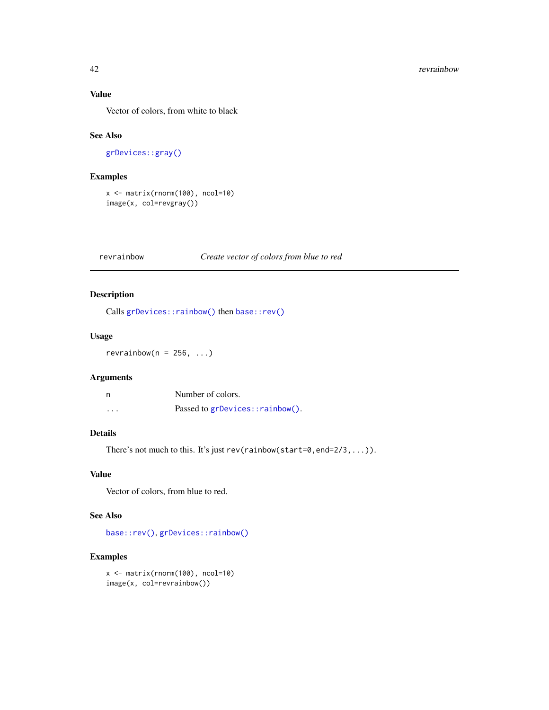### Value

Vector of colors, from white to black

### See Also

[grDevices::gray\(\)](#page-0-0)

### Examples

```
x <- matrix(rnorm(100), ncol=10)
image(x, col=revgray())
```
#### revrainbow *Create vector of colors from blue to red*

### Description

Calls [grDevices::rainbow\(\)](#page-0-0) then [base::rev\(\)](#page-0-0)

#### Usage

 $revrainbow(n = 256, ...)$ 

#### Arguments

| n        | Number of colors.               |
|----------|---------------------------------|
| $\cdots$ | Passed to grDevices::rainbow(). |

### Details

There's not much to this. It's just rev(rainbow(start=0,end=2/3,...)).

### Value

Vector of colors, from blue to red.

### See Also

[base::rev\(\)](#page-0-0), [grDevices::rainbow\(\)](#page-0-0)

```
x <- matrix(rnorm(100), ncol=10)
image(x, col=revrainbow())
```
<span id="page-41-0"></span>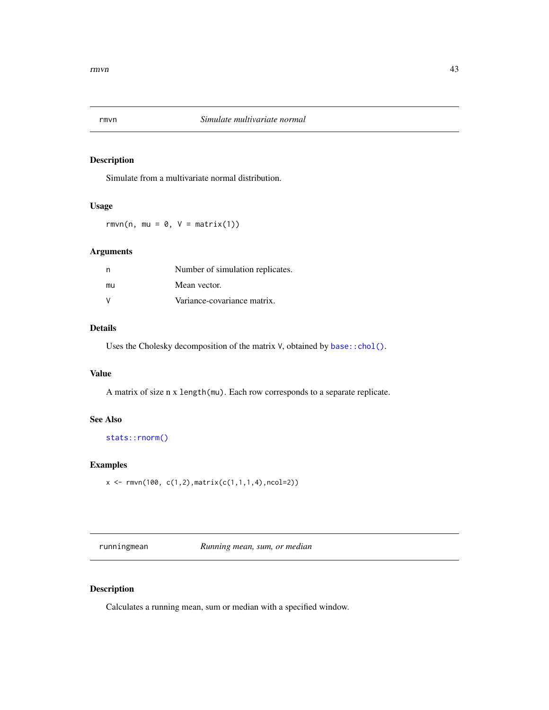<span id="page-42-0"></span>

Simulate from a multivariate normal distribution.

#### Usage

rmvn(n, mu =  $0$ , V = matrix(1))

### Arguments

| n            | Number of simulation replicates. |
|--------------|----------------------------------|
| mu           | Mean vector.                     |
| <sup>V</sup> | Variance-covariance matrix.      |

### Details

Uses the Cholesky decomposition of the matrix V, obtained by base:: chol().

#### Value

A matrix of size n x length(mu). Each row corresponds to a separate replicate.

#### See Also

[stats::rnorm\(\)](#page-0-0)

#### Examples

```
x \leq -rmvn(100, c(1,2),matrix(c(1,1,1,4),ncol=2))
```
<span id="page-42-1"></span>runningmean *Running mean, sum, or median*

### Description

Calculates a running mean, sum or median with a specified window.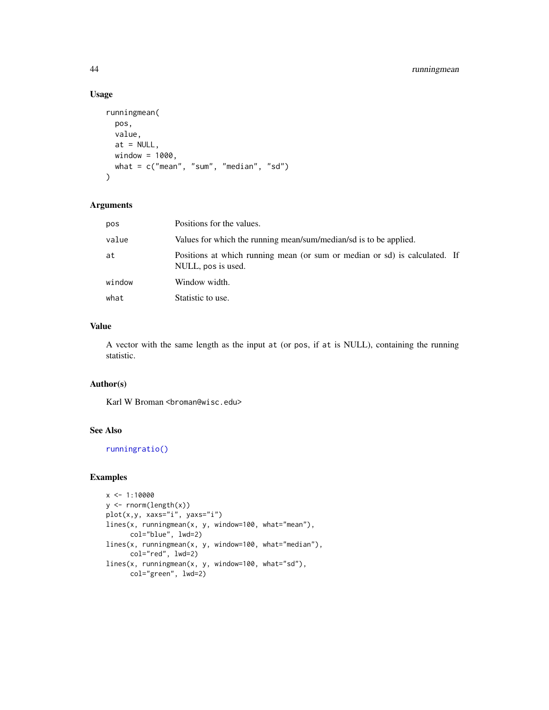### <span id="page-43-0"></span>44 runningmean

#### Usage

```
runningmean(
 pos,
 value,
 at = NULL,window = 1000,
 what = c("mean", "sum", "median", "sd")
)
```
#### Arguments

| pos    | Positions for the values.                                                                        |
|--------|--------------------------------------------------------------------------------------------------|
| value  | Values for which the running mean/sum/median/sd is to be applied.                                |
| at     | Positions at which running mean (or sum or median or sd) is calculated. If<br>NULL, pos is used. |
| window | Window width.                                                                                    |
| what   | Statistic to use.                                                                                |

### Value

A vector with the same length as the input at (or pos, if at is NULL), containing the running statistic.

### Author(s)

Karl W Broman <br/>broman@wisc.edu>

#### See Also

[runningratio\(\)](#page-44-1)

```
x < -1:10000y <- rnorm(length(x))
plot(x,y, xaxs="i", yaxs="i")
lines(x, runningmean(x, y, window=100, what="mean"),
      col="blue", lwd=2)
lines(x, runningmean(x, y, window=100, what="median"),
      col="red", lwd=2)
lines(x, runningmean(x, y, window=100, what="sd"),
      col="green", lwd=2)
```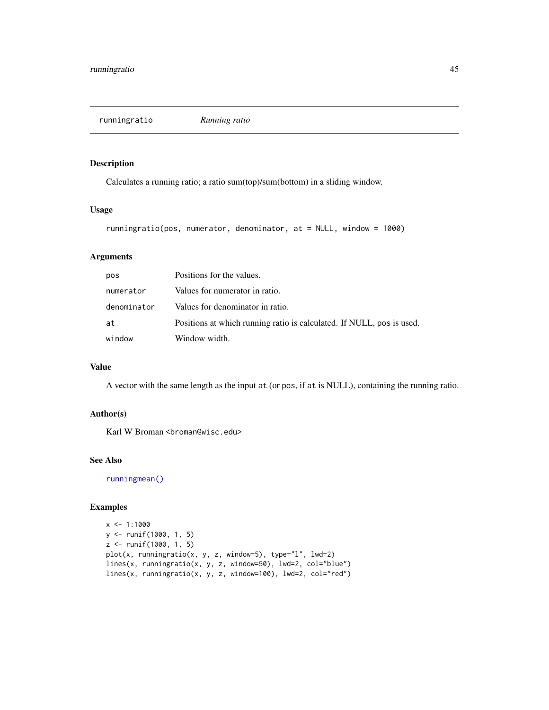<span id="page-44-1"></span><span id="page-44-0"></span>runningratio *Running ratio*

### Description

Calculates a running ratio; a ratio sum(top)/sum(bottom) in a sliding window.

#### Usage

```
runningratio(pos, numerator, denominator, at = NULL, window = 1000)
```
### Arguments

| pos         | Positions for the values.                                             |
|-------------|-----------------------------------------------------------------------|
| numerator   | Values for numerator in ratio.                                        |
| denominator | Values for denominator in ratio.                                      |
| at          | Positions at which running ratio is calculated. If NULL, pos is used. |
| window      | Window width.                                                         |

#### Value

A vector with the same length as the input at (or pos, if at is NULL), containing the running ratio.

### Author(s)

Karl W Broman <br/>broman@wisc.edu>

### See Also

[runningmean\(\)](#page-42-1)

```
x \le -1:1000y <- runif(1000, 1, 5)
z <- runif(1000, 1, 5)
plot(x, runningratio(x, y, z, window=5), type="l", lwd=2)
lines(x, runningratio(x, y, z, window=50), lwd=2, col="blue")
lines(x, runningratio(x, y, z, window=100), lwd=2, col="red")
```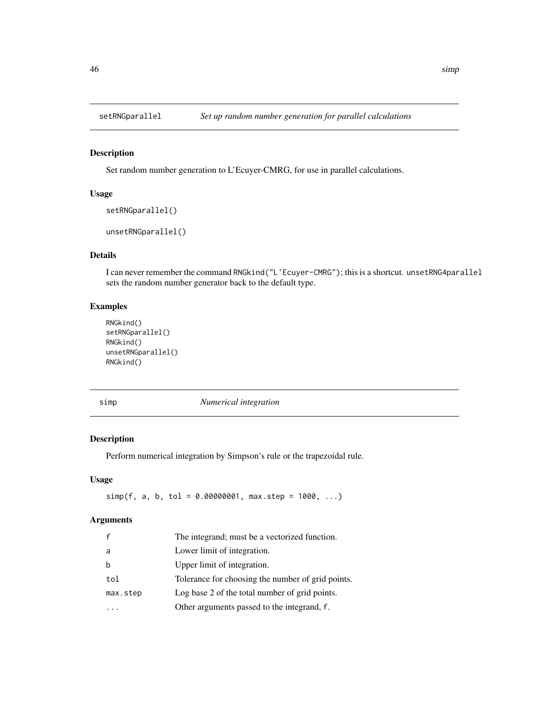<span id="page-45-0"></span>

Set random number generation to L'Ecuyer-CMRG, for use in parallel calculations.

### Usage

```
setRNGparallel()
```
unsetRNGparallel()

### Details

I can never remember the command RNGkind("L'Ecuyer-CMRG"); this is a shortcut. unsetRNG4parallel sets the random number generator back to the default type.

### Examples

```
RNGkind()
setRNGparallel()
RNGkind()
unsetRNGparallel()
RNGkind()
```
simp *Numerical integration*

### Description

Perform numerical integration by Simpson's rule or the trapezoidal rule.

### Usage

 $simp(f, a, b, tol = 0.00000001, max.step = 1000, ...)$ 

#### Arguments

| $\mathbf{f}$ | The integrand; must be a vectorized function.     |
|--------------|---------------------------------------------------|
| a            | Lower limit of integration.                       |
| b            | Upper limit of integration.                       |
| tol          | Tolerance for choosing the number of grid points. |
| max.step     | Log base 2 of the total number of grid points.    |
|              | Other arguments passed to the integrand, f.       |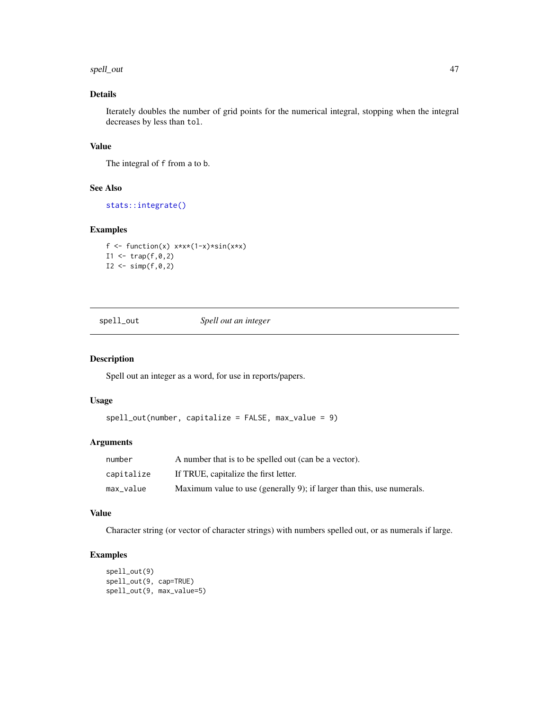#### <span id="page-46-0"></span>spell\_out 47

### Details

Iterately doubles the number of grid points for the numerical integral, stopping when the integral decreases by less than tol.

#### Value

The integral of f from a to b.

### See Also

[stats::integrate\(\)](#page-0-0)

#### Examples

```
f \le function(x) x \times x \times (1-x) \times \sin(x \times x)I1 < - \text{trap}(f, \emptyset, 2)I2 < - \text{simp}(f, \emptyset, 2)
```
spell\_out *Spell out an integer*

#### Description

Spell out an integer as a word, for use in reports/papers.

### Usage

```
spell\_out(number, capitalize = FALSE, max_value = 9)
```
#### Arguments

| number     | A number that is to be spelled out (can be a vector).                  |
|------------|------------------------------------------------------------------------|
| capitalize | If TRUE, capitalize the first letter.                                  |
| max_value  | Maximum value to use (generally 9); if larger than this, use numerals. |

### Value

Character string (or vector of character strings) with numbers spelled out, or as numerals if large.

```
spell_out(9)
spell_out(9, cap=TRUE)
spell_out(9, max_value=5)
```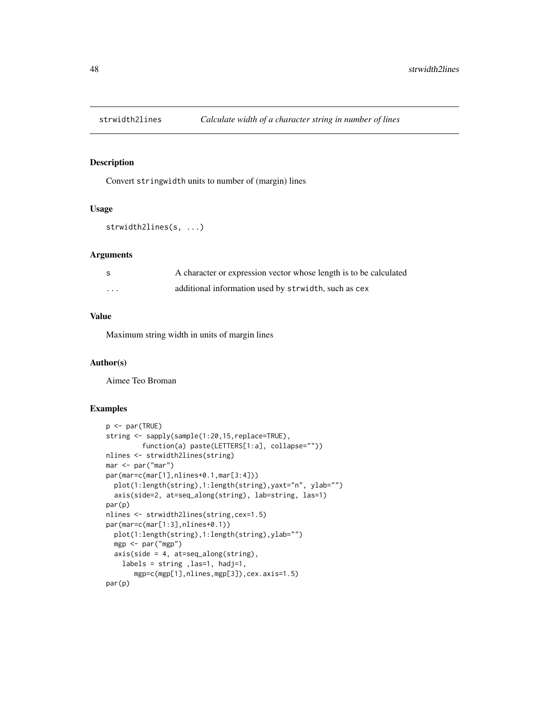<span id="page-47-0"></span>

Convert stringwidth units to number of (margin) lines

#### Usage

```
strwidth2lines(s, ...)
```
#### Arguments

| - S      | A character or expression vector whose length is to be calculated |
|----------|-------------------------------------------------------------------|
| $\cdots$ | additional information used by strwidth, such as cex              |

### Value

Maximum string width in units of margin lines

#### Author(s)

Aimee Teo Broman

```
p <- par(TRUE)
string <- sapply(sample(1:20,15,replace=TRUE),
         function(a) paste(LETTERS[1:a], collapse=""))
nlines <- strwidth2lines(string)
mar <- par("mar")
par(mar=c(mar[1],nlines+0.1,mar[3:4]))
  plot(1:length(string),1:length(string),yaxt="n", ylab="")
  axis(side=2, at=seq_along(string), lab=string, las=1)
par(p)
nlines <- strwidth2lines(string,cex=1.5)
par(mar=c(mar[1:3],nlines+0.1))
  plot(1:length(string),1:length(string),ylab="")
  mgp <- par("mgp")
  axis(side = 4, at=seq\_along(string),
    labels = string ,las=1, hadj=1,
       mgp=c(mgp[1],nlines,mgp[3]),cex.axis=1.5)
par(p)
```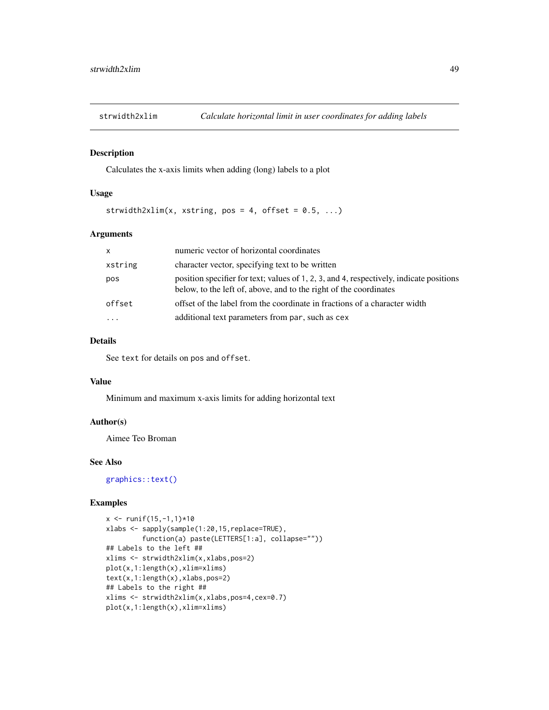<span id="page-48-0"></span>

Calculates the x-axis limits when adding (long) labels to a plot

#### Usage

strwidth2xlim(x, xstring, pos = 4, offset =  $0.5, ...$ )

#### Arguments

| $\mathsf{x}$ | numeric vector of horizontal coordinates                                                                                                                     |
|--------------|--------------------------------------------------------------------------------------------------------------------------------------------------------------|
| xstring      | character vector, specifying text to be written                                                                                                              |
| pos          | position specifier for text; values of 1, 2, 3, and 4, respectively, indicate positions<br>below, to the left of, above, and to the right of the coordinates |
| offset       | offset of the label from the coordinate in fractions of a character width                                                                                    |
|              | additional text parameters from par, such as cex                                                                                                             |

### Details

See text for details on pos and offset.

#### Value

Minimum and maximum x-axis limits for adding horizontal text

### Author(s)

Aimee Teo Broman

#### See Also

[graphics::text\(\)](#page-0-0)

```
x \le - runif(15,-1,1)*10
xlabs <- sapply(sample(1:20,15,replace=TRUE),
         function(a) paste(LETTERS[1:a], collapse=""))
## Labels to the left ##
xlims <- strwidth2xlim(x,xlabs,pos=2)
plot(x,1:length(x),xlim=xlims)
text(x,1:length(x),xlabs,pos=2)
## Labels to the right ##
xlims <- strwidth2xlim(x,xlabs,pos=4,cex=0.7)
plot(x,1:length(x),xlim=xlims)
```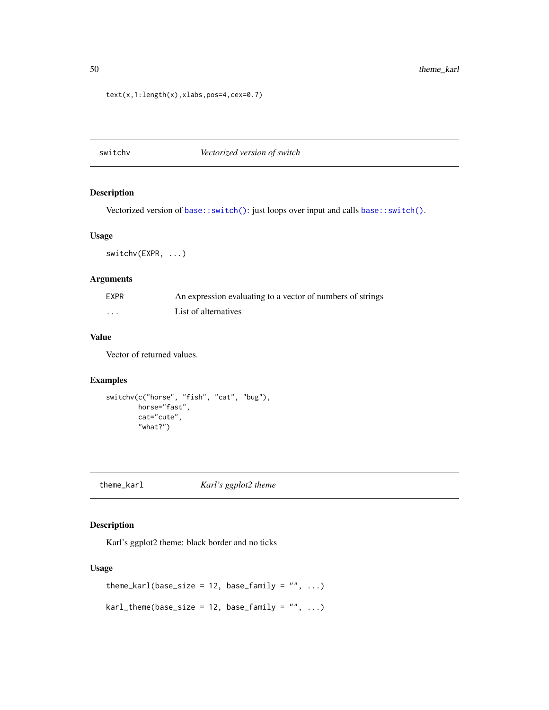#### text(x,1:length(x),xlabs,pos=4,cex=0.7)

### switchv *Vectorized version of switch*

#### Description

Vectorized version of [base::switch\(\)](#page-0-0): just loops over input and calls [base::switch\(\)](#page-0-0).

#### Usage

switchv(EXPR, ...)

#### Arguments

| EXPR                    | An expression evaluating to a vector of numbers of strings |
|-------------------------|------------------------------------------------------------|
| $\cdot$ $\cdot$ $\cdot$ | List of alternatives                                       |

### Value

Vector of returned values.

#### Examples

```
switchv(c("horse", "fish", "cat", "bug"),
       horse="fast",
       cat="cute",
        "what?")
```
theme\_karl *Karl's ggplot2 theme*

### Description

Karl's ggplot2 theme: black border and no ticks

#### Usage

```
theme_karl(base_size = 12, base_family = ", ...)
kar1<sub>_theme</sub>(base_size = 12, base_family = "", ...)
```
<span id="page-49-0"></span>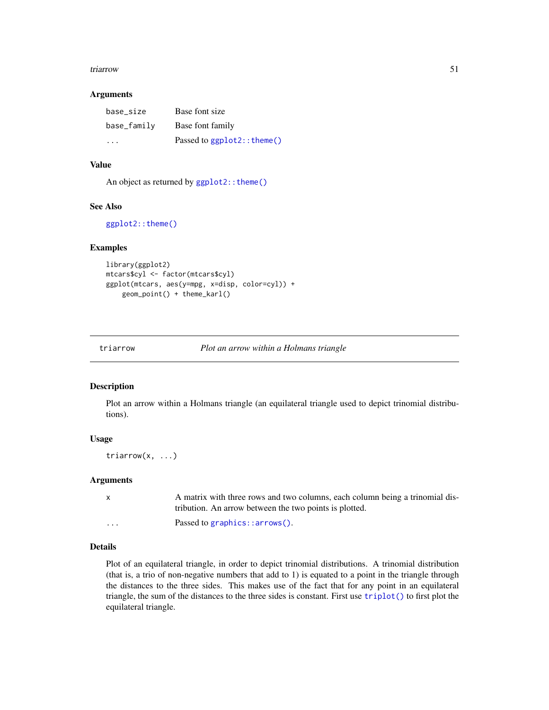#### <span id="page-50-0"></span>triarrow 51

#### Arguments

| base size   | Base font size                  |
|-------------|---------------------------------|
| base_family | Base font family                |
| .           | Passed to $ggplot2$ : : theme() |

#### Value

An object as returned by ggplot2:: theme()

### See Also

[ggplot2::theme\(\)](#page-0-0)

#### Examples

```
library(ggplot2)
mtcars$cyl <- factor(mtcars$cyl)
ggplot(mtcars, aes(y=mpg, x=disp, color=cyl)) +
    geom_point() + theme_karl()
```
<span id="page-50-1"></span>

triarrow *Plot an arrow within a Holmans triangle*

#### Description

Plot an arrow within a Holmans triangle (an equilateral triangle used to depict trinomial distributions).

### Usage

triarrow(x, ...)

#### Arguments

|                         | A matrix with three rows and two columns, each column being a trinomial dis- |
|-------------------------|------------------------------------------------------------------------------|
|                         | tribution. An arrow between the two points is plotted.                       |
| $\cdot$ $\cdot$ $\cdot$ | Passed to graphics:: $arrow()$ .                                             |

### Details

Plot of an equilateral triangle, in order to depict trinomial distributions. A trinomial distribution (that is, a trio of non-negative numbers that add to 1) is equated to a point in the triangle through the distances to the three sides. This makes use of the fact that for any point in an equilateral triangle, the sum of the distances to the three sides is constant. First use [triplot\(\)](#page-53-1) to first plot the equilateral triangle.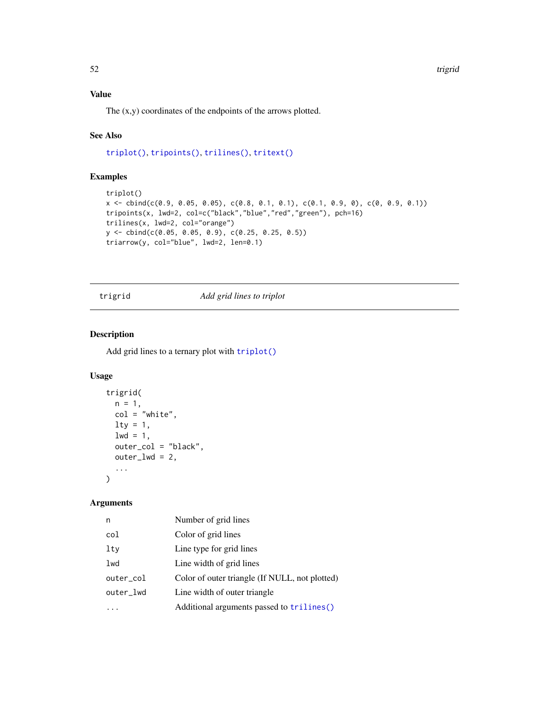### <span id="page-51-0"></span>Value

The (x,y) coordinates of the endpoints of the arrows plotted.

### See Also

[triplot\(\)](#page-53-1), [tripoints\(\)](#page-54-1), [trilines\(\)](#page-52-1), [tritext\(\)](#page-55-1)

### Examples

```
triplot()
x \le cbind(c(0.9, 0.05, 0.05), c(0.8, 0.1, 0.1), c(0.1, 0.9, 0), c(0, 0.9, 0.1))
tripoints(x, lwd=2, col=c("black","blue","red","green"), pch=16)
trilines(x, lwd=2, col="orange")
y <- cbind(c(0.05, 0.05, 0.9), c(0.25, 0.25, 0.5))
triarrow(y, col="blue", lwd=2, len=0.1)
```
trigrid *Add grid lines to triplot*

### Description

Add grid lines to a ternary plot with [triplot\(\)](#page-53-1)

#### Usage

```
trigrid(
  n = 1,
  col = "white",\frac{1}{1}1wd = 1,
  outer_col = "black",
  outer_lwd = 2,
  ...
\mathcal{L}
```
### Arguments

| n         | Number of grid lines                           |
|-----------|------------------------------------------------|
| col       | Color of grid lines                            |
| lty       | Line type for grid lines                       |
| lwd       | Line width of grid lines                       |
| outer_col | Color of outer triangle (If NULL, not plotted) |
| outer_lwd | Line width of outer triangle                   |
|           | Additional arguments passed to trilines()      |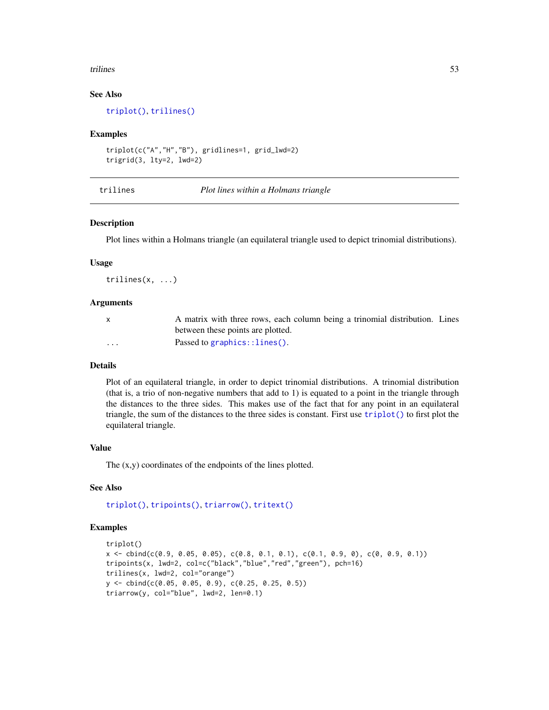#### <span id="page-52-0"></span>trilines 53

### See Also

[triplot\(\)](#page-53-1), [trilines\(\)](#page-52-1)

#### Examples

```
triplot(c("A","H","B"), gridlines=1, grid_lwd=2)
trigrid(3, lty=2, lwd=2)
```
<span id="page-52-1"></span>trilines *Plot lines within a Holmans triangle*

#### Description

Plot lines within a Holmans triangle (an equilateral triangle used to depict trinomial distributions).

#### Usage

trilines(x, ...)

#### **Arguments**

| $\mathbf{x}$ | A matrix with three rows, each column being a trinomial distribution. Lines |
|--------------|-----------------------------------------------------------------------------|
|              | between these points are plotted.                                           |
| $\cdots$     | Passed to graphics:: $lines()$ .                                            |

### Details

Plot of an equilateral triangle, in order to depict trinomial distributions. A trinomial distribution (that is, a trio of non-negative numbers that add to 1) is equated to a point in the triangle through the distances to the three sides. This makes use of the fact that for any point in an equilateral triangle, the sum of the distances to the three sides is constant. First use [triplot\(\)](#page-53-1) to first plot the equilateral triangle.

#### Value

The (x,y) coordinates of the endpoints of the lines plotted.

### See Also

[triplot\(\)](#page-53-1), [tripoints\(\)](#page-54-1), [triarrow\(\)](#page-50-1), [tritext\(\)](#page-55-1)

```
triplot()
x \leq - \text{cbind}(c(0.9, 0.05, 0.05), c(0.8, 0.1, 0.1), c(0.1, 0.9, 0), c(0, 0.9, 0.1))tripoints(x, lwd=2, col=c("black","blue","red","green"), pch=16)
trilines(x, lwd=2, col="orange")
y <- cbind(c(0.05, 0.05, 0.9), c(0.25, 0.25, 0.5))
triarrow(y, col="blue", lwd=2, len=0.1)
```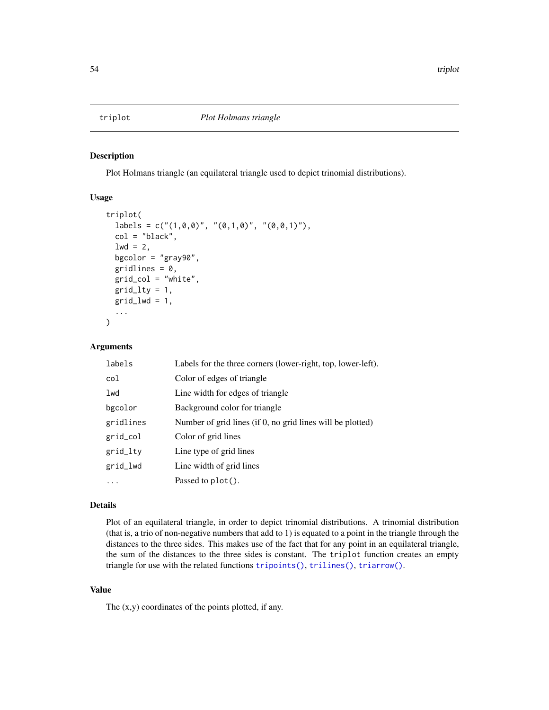<span id="page-53-1"></span><span id="page-53-0"></span>

Plot Holmans triangle (an equilateral triangle used to depict trinomial distributions).

### Usage

```
triplot(
  labels = c("(1,0,0)", "(0,1,0)", "(0,0,1)"),col = "black",
  1wd = 2,
  bgcolor = "gray90",
  gridlines = 0,
  grid_col = "white",
  grid_lty = 1,
  grid\_lwd = 1,
  ...
)
```
#### Arguments

| labels    | Labels for the three corners (lower-right, top, lower-left). |
|-----------|--------------------------------------------------------------|
| col       | Color of edges of triangle                                   |
| lwd       | Line width for edges of triangle                             |
| bgcolor   | Background color for triangle                                |
| gridlines | Number of grid lines (if 0, no grid lines will be plotted)   |
| grid_col  | Color of grid lines                                          |
| grid_lty  | Line type of grid lines                                      |
| grid_lwd  | Line width of grid lines                                     |
|           | Passed to $plot()$ .                                         |

#### Details

Plot of an equilateral triangle, in order to depict trinomial distributions. A trinomial distribution (that is, a trio of non-negative numbers that add to 1) is equated to a point in the triangle through the distances to the three sides. This makes use of the fact that for any point in an equilateral triangle, the sum of the distances to the three sides is constant. The triplot function creates an empty triangle for use with the related functions [tripoints\(\)](#page-54-1), [trilines\(\)](#page-52-1), [triarrow\(\)](#page-50-1).

### Value

The  $(x,y)$  coordinates of the points plotted, if any.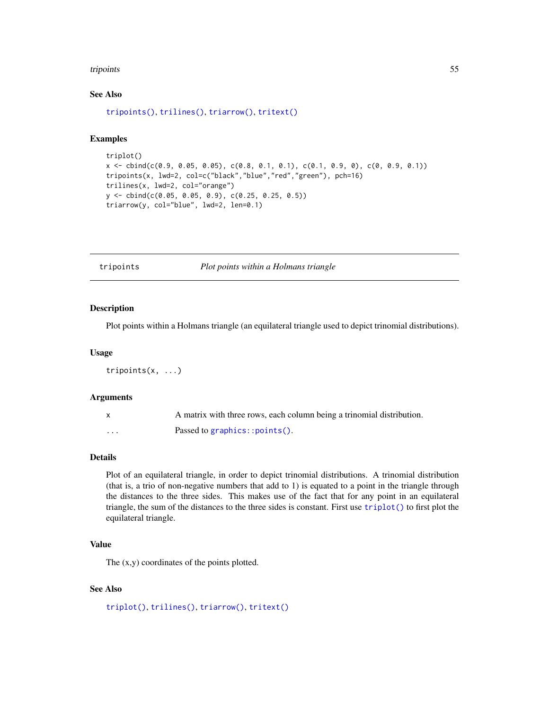#### <span id="page-54-0"></span>tripoints 55

### See Also

```
tripoints(), trilines(), triarrow(), tritext()
```
#### Examples

```
triplot()
x \le cbind(c(0.9, 0.05, 0.05), c(0.8, 0.1, 0.1), c(0.1, 0.9, 0), c(0, 0.9, 0.1))
tripoints(x, lwd=2, col=c("black","blue","red","green"), pch=16)
trilines(x, lwd=2, col="orange")
y <- cbind(c(0.05, 0.05, 0.9), c(0.25, 0.25, 0.5))
triarrow(y, col="blue", lwd=2, len=0.1)
```
<span id="page-54-1"></span>tripoints *Plot points within a Holmans triangle*

#### Description

Plot points within a Holmans triangle (an equilateral triangle used to depict trinomial distributions).

#### Usage

tripoints(x, ...)

#### Arguments

|   | A matrix with three rows, each column being a trinomial distribution. |
|---|-----------------------------------------------------------------------|
| . | Passed to graphics:: $points()$ .                                     |

#### Details

Plot of an equilateral triangle, in order to depict trinomial distributions. A trinomial distribution (that is, a trio of non-negative numbers that add to 1) is equated to a point in the triangle through the distances to the three sides. This makes use of the fact that for any point in an equilateral triangle, the sum of the distances to the three sides is constant. First use [triplot\(\)](#page-53-1) to first plot the equilateral triangle.

#### Value

The (x,y) coordinates of the points plotted.

### See Also

[triplot\(\)](#page-53-1), [trilines\(\)](#page-52-1), [triarrow\(\)](#page-50-1), [tritext\(\)](#page-55-1)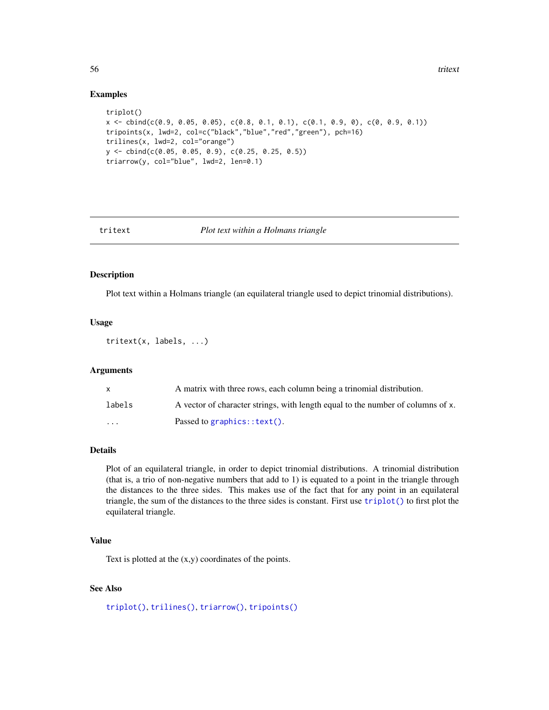#### Examples

```
triplot()
x <- cbind(c(0.9, 0.05, 0.05), c(0.8, 0.1, 0.1), c(0.1, 0.9, 0), c(0, 0.9, 0.1))
tripoints(x, lwd=2, col=c("black","blue","red","green"), pch=16)
trilines(x, lwd=2, col="orange")
y <- cbind(c(0.05, 0.05, 0.9), c(0.25, 0.25, 0.5))
triarrow(y, col="blue", lwd=2, len=0.1)
```
<span id="page-55-1"></span>

#### tritext *Plot text within a Holmans triangle*

#### Description

Plot text within a Holmans triangle (an equilateral triangle used to depict trinomial distributions).

#### Usage

tritext(x, labels, ...)

#### Arguments

|          | A matrix with three rows, each column being a trinomial distribution.           |
|----------|---------------------------------------------------------------------------------|
| labels   | A vector of character strings, with length equal to the number of columns of x. |
| $\cdots$ | Passed to graphics:: $text()$ .                                                 |

#### Details

Plot of an equilateral triangle, in order to depict trinomial distributions. A trinomial distribution (that is, a trio of non-negative numbers that add to 1) is equated to a point in the triangle through the distances to the three sides. This makes use of the fact that for any point in an equilateral triangle, the sum of the distances to the three sides is constant. First use [triplot\(\)](#page-53-1) to first plot the equilateral triangle.

#### Value

Text is plotted at the (x,y) coordinates of the points.

### See Also

[triplot\(\)](#page-53-1), [trilines\(\)](#page-52-1), [triarrow\(\)](#page-50-1), [tripoints\(\)](#page-54-1)

<span id="page-55-0"></span>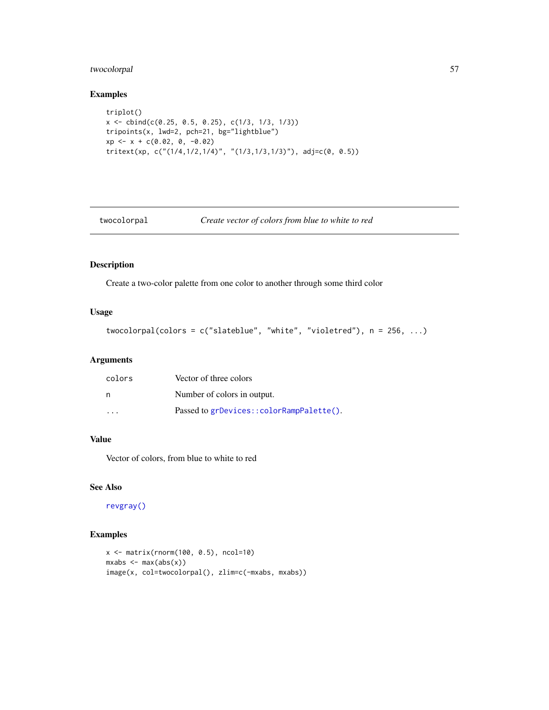### <span id="page-56-0"></span>twocolorpal 57

#### Examples

```
triplot()
x \le cbind(c(0.25, 0.5, 0.25), c(1/3, 1/3, 1/3))
tripoints(x, lwd=2, pch=21, bg="lightblue")
xp \leftarrow x + c(0.02, 0, -0.02)tritext(xp, c("(1/4,1/2,1/4)", "(1/3,1/3,1/3)"), adj=c(0, 0.5))
```

```
twocolorpal Create vector of colors from blue to white to red
```
#### Description

Create a two-color palette from one color to another through some third color

### Usage

```
twocolorpal(colors = c("slateblue", "white", "violetred"), n = 256, ...)
```
#### Arguments

| colors | Vector of three colors                   |
|--------|------------------------------------------|
| n      | Number of colors in output.              |
| .      | Passed to grDevices::colorRampPalette(). |

### Value

Vector of colors, from blue to white to red

#### See Also

[revgray\(\)](#page-40-1)

```
x <- matrix(rnorm(100, 0.5), ncol=10)
mxabs \leftarrow max(abs(x))image(x, col=twocolorpal(), zlim=c(-mxabs, mxabs))
```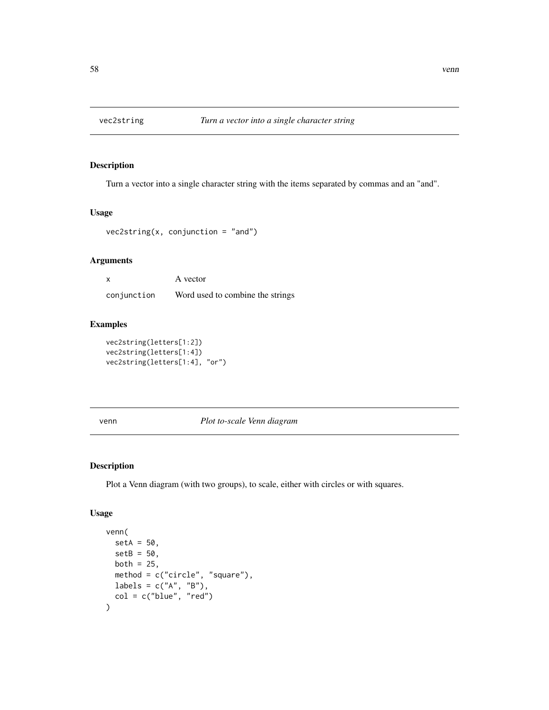<span id="page-57-0"></span>

Turn a vector into a single character string with the items separated by commas and an "and".

#### Usage

```
vec2string(x, conjunction = "and")
```
### Arguments

| X           | A vector                         |
|-------------|----------------------------------|
| conjunction | Word used to combine the strings |

### Examples

```
vec2string(letters[1:2])
vec2string(letters[1:4])
vec2string(letters[1:4], "or")
```
#### venn *Plot to-scale Venn diagram*

#### Description

Plot a Venn diagram (with two groups), to scale, either with circles or with squares.

#### Usage

```
venn(
  setA = 50,
  setB = 50,
  both = 25,
  method = c("circle", "square"),
  labels = c("A", "B"),
  col = c("blue", "red")
\mathcal{E}
```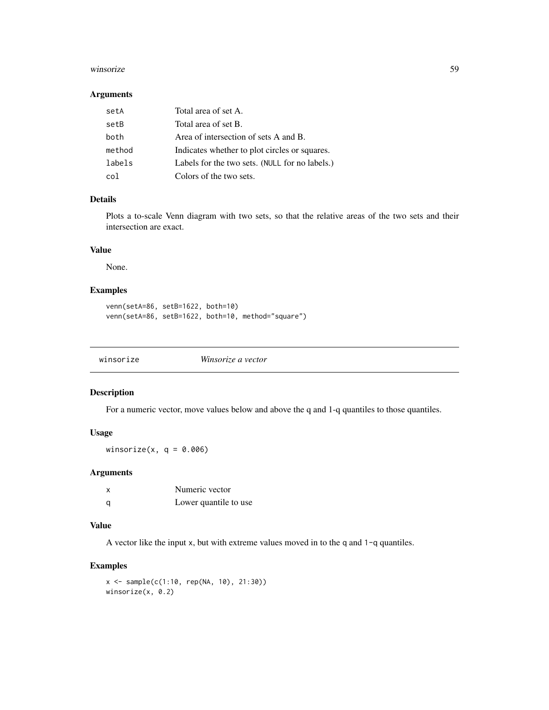#### <span id="page-58-0"></span>winsorize 59

#### Arguments

| setA   | Total area of set A.                           |
|--------|------------------------------------------------|
| setB   | Total area of set B.                           |
| both   | Area of intersection of sets A and B.          |
| method | Indicates whether to plot circles or squares.  |
| labels | Labels for the two sets. (NULL for no labels.) |
| col    | Colors of the two sets.                        |

### Details

Plots a to-scale Venn diagram with two sets, so that the relative areas of the two sets and their intersection are exact.

#### Value

None.

### Examples

```
venn(setA=86, setB=1622, both=10)
venn(setA=86, setB=1622, both=10, method="square")
```

|--|--|

#### Description

For a numeric vector, move values below and above the q and 1-q quantiles to those quantiles.

### Usage

winsorize(x,  $q = 0.006$ )

### Arguments

| x | Numeric vector        |
|---|-----------------------|
| a | Lower quantile to use |

#### Value

A vector like the input x, but with extreme values moved in to the q and 1-q quantiles.

#### Examples

x <- sample(c(1:10, rep(NA, 10), 21:30)) winsorize(x, 0.2)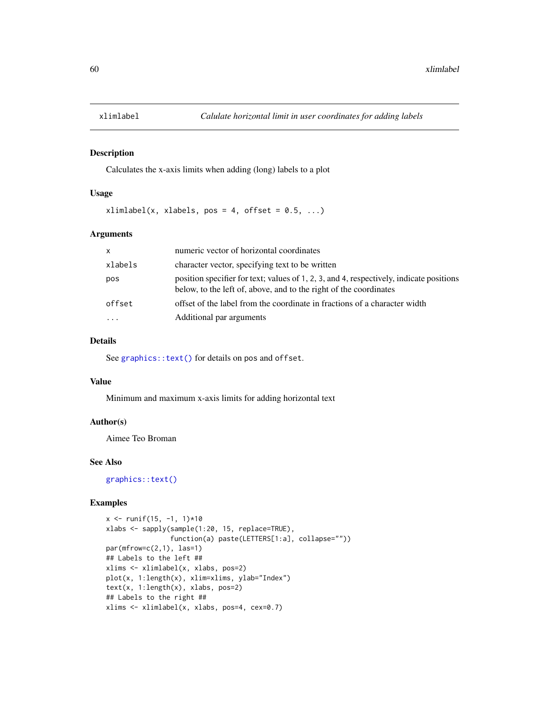<span id="page-59-0"></span>

Calculates the x-axis limits when adding (long) labels to a plot

#### Usage

 $xlimlabel(x, xlabels, pos = 4, offset = 0.5, ...)$ 

#### Arguments

| $\mathsf{x}$ | numeric vector of horizontal coordinates                                                                                                                     |
|--------------|--------------------------------------------------------------------------------------------------------------------------------------------------------------|
| xlabels      | character vector, specifying text to be written                                                                                                              |
| pos          | position specifier for text; values of 1, 2, 3, and 4, respectively, indicate positions<br>below, to the left of, above, and to the right of the coordinates |
| offset       | offset of the label from the coordinate in fractions of a character width                                                                                    |
|              | Additional par arguments                                                                                                                                     |

### Details

See [graphics::text\(\)](#page-0-0) for details on pos and offset.

#### Value

Minimum and maximum x-axis limits for adding horizontal text

### Author(s)

Aimee Teo Broman

#### See Also

[graphics::text\(\)](#page-0-0)

```
x \le runif(15, -1, 1)*10
xlabs <- sapply(sample(1:20, 15, replace=TRUE),
                function(a) paste(LETTERS[1:a], collapse=""))
par(mfrow=c(2,1), las=1)
## Labels to the left ##
xlims <- xlimlabel(x, xlabs, pos=2)
plot(x, 1:length(x), xlim=xlims, ylab="Index")
text(x, 1:length(x), xlabs, pos=2)
## Labels to the right ##
xlims <- xlimlabel(x, xlabs, pos=4, cex=0.7)
```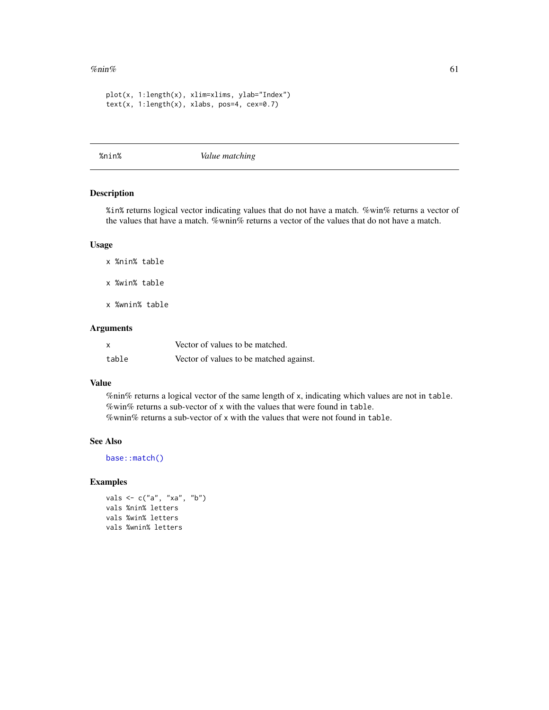#### <span id="page-60-0"></span>% $\frac{m}{61}$ % 61

```
plot(x, 1:length(x), xlim=xlims, ylab="Index")
text(x, 1:length(x), xlabels, pos=4, cex=0.7)
```
%nin% *Value matching*

#### Description

%in% returns logical vector indicating values that do not have a match. %win% returns a vector of the values that have a match. %wnin% returns a vector of the values that do not have a match.

#### Usage

x %nin% table

x %win% table

x %wnin% table

#### Arguments

| X     | Vector of values to be matched.         |
|-------|-----------------------------------------|
| table | Vector of values to be matched against. |

#### Value

%nin% returns a logical vector of the same length of x, indicating which values are not in table. %win% returns a sub-vector of x with the values that were found in table. %wnin% returns a sub-vector of x with the values that were not found in table.

## See Also

[base::match\(\)](#page-0-0)

```
vals <- c("a", "xa", "b")
vals %nin% letters
vals %win% letters
vals %wnin% letters
```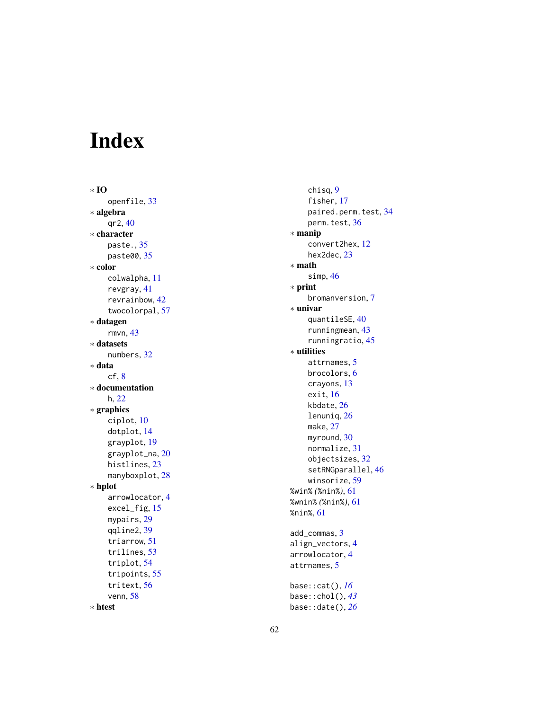# <span id="page-61-0"></span>Index

∗ IO openfile , [33](#page-32-0) ∗ algebra qr2 , [40](#page-39-0) ∗ character paste. , [35](#page-34-0) paste00 , [35](#page-34-0) ∗ color colwalpha , [11](#page-10-0) revgray , [41](#page-40-0) revrainbow , [42](#page-41-0) twocolorpal , [57](#page-56-0) ∗ datagen rmvn , [43](#page-42-0) ∗ datasets numbers , [32](#page-31-0) ∗ data  $cf, 8$  $cf, 8$ ∗ documentation h, [22](#page-21-0) ∗ graphics ciplot , [10](#page-9-0) dotplot , [14](#page-13-0) grayplot , [19](#page-18-0) grayplot\_na , [20](#page-19-0) histlines , [23](#page-22-0) manyboxplot, [28](#page-27-0) ∗ hplot arrowlocator , [4](#page-3-0) excel\_fig, [15](#page-14-0) mypairs , [29](#page-28-0) qqline2 , [39](#page-38-0) triarrow , [51](#page-50-0) trilines , [53](#page-52-0) triplot , [54](#page-53-0) tripoints , [55](#page-54-0) tritext , [56](#page-55-0) venn , [58](#page-57-0) ∗ htest

chisq , [9](#page-8-0) fisher, [17](#page-16-0) paired.perm.test , [34](#page-33-0) perm.test , [36](#page-35-0) ∗ manip convert2hex , [12](#page-11-0) hex2dec, [23](#page-22-0) ∗ math simp , [46](#page-45-0) ∗ print bromanversion , [7](#page-6-0) ∗ univar quantileSE , [40](#page-39-0) runningmean , [43](#page-42-0) runningratio , [45](#page-44-0) ∗ utilities attrnames, [5](#page-4-0) brocolors , [6](#page-5-0) crayons , [13](#page-12-0) exit, [16](#page-15-0) kbdate , [26](#page-25-0) lenuniq, [26](#page-25-0) make , [27](#page-26-0) myround, [30](#page-29-0) normalize , [31](#page-30-0) objectsizes , [32](#page-31-0) setRNGparallel, [46](#page-45-0) winsorize , [59](#page-58-0) %win% *(*%nin% *)* , [61](#page-60-0) %wnin% *(*%nin% *)* , [61](#page-60-0) %nin% , [61](#page-60-0) add\_commas , [3](#page-2-0) align\_vectors , [4](#page-3-0) arrowlocator , [4](#page-3-0) attrnames , [5](#page-4-0) base::cat() , *[16](#page-15-0)* base::chol() , *[43](#page-42-0)* base::date() , *[26](#page-25-0)*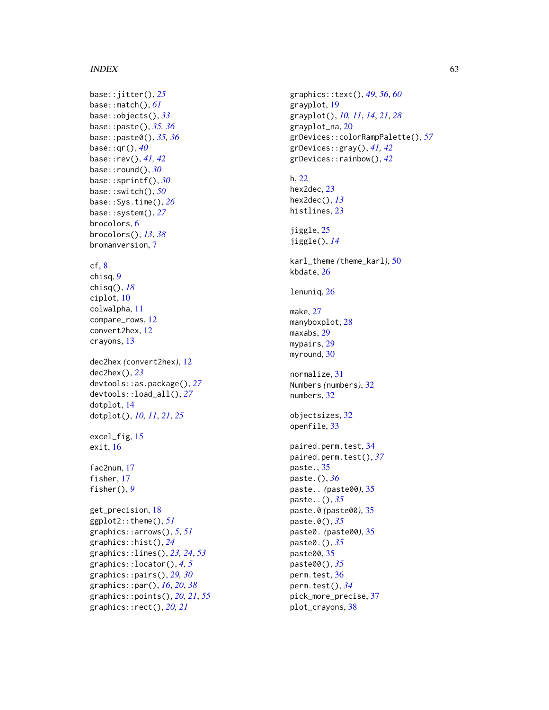#### $I<sub>N</sub>DEX$  63

```
base::jitter()
, 25
base::match()
, 61
base::objects()
, 33
base::paste()
, 35
, 36
base::paste0()
, 35
, 36
base::qr()
, 40
base::rev()
, 41
, 42
base::round()
, 30
base::sprintf()
, 30
base::switch()
, 50
base::Sys.time()
, 26
base::system()
, 27
brocolors
,
6
brocolors()
, 13
, 38
bromanversion
,
7
8chisq
,
9
chisq()
, 18
ciplot
, 10
colwalpha
, 11
compare_rows
, 12
convert2hex
, 12
crayons
, 13
dec2hex
(convert2hex
)
, 12
dec2hex()
, 23
devtools::as.package()
, 27
devtools::load_all()
, 27
dotplot
, 14
dotplot()
, 10
, 11
, 21
, 25
15
16
fac2num
, 17
17
fisher()
,
9
get_precision
, 18
ggplot2::theme()
, 51
graphics::arrows()
,
5
, 51
graphics::hist()
, 24
graphics::lines()
, 23
, 24
, 53
graphics::locator()
,
4
,
5
```
graphics::pairs() , *[29](#page-28-0) , [30](#page-29-0)* graphics::par() , *[16](#page-15-0)* , *[20](#page-19-0)* , *[38](#page-37-0)* graphics::points() , *[20](#page-19-0) , [21](#page-20-0)* , *[55](#page-54-0)* graphics::rect() , *[20](#page-19-0) , [21](#page-20-0)*

graphics::text() , *[49](#page-48-0)* , *[56](#page-55-0)* , *[60](#page-59-0)* grayplot , [19](#page-18-0) grayplot() , *[10](#page-9-0) , [11](#page-10-0)* , *[14](#page-13-0)* , *[21](#page-20-0)* , *[28](#page-27-0)* grayplot\_na , [20](#page-19-0) grDevices::colorRampPalette() , *[57](#page-56-0)* grDevices::gray() , *[41](#page-40-0) , [42](#page-41-0)* grDevices::rainbow() , *[42](#page-41-0)* h , [22](#page-21-0) hex2dec, [23](#page-22-0) hex2dec() , *[13](#page-12-0)* histlines , [23](#page-22-0) jiggle, [25](#page-24-0) jiggle() , *[14](#page-13-0)* karl\_theme *(*theme\_karl *)* , [50](#page-49-0) kbdate , [26](#page-25-0) lenuniq, [26](#page-25-0) make , [27](#page-26-0) manyboxplot, [28](#page-27-0) maxabs , [29](#page-28-0) mypairs, [29](#page-28-0) myround, [30](#page-29-0) normalize , [31](#page-30-0) Numbers *(*numbers *)* , [32](#page-31-0) numbers, [32](#page-31-0) objectsizes , [32](#page-31-0) openfile , [33](#page-32-0) paired.perm.test , [34](#page-33-0) paired.perm.test() , *[37](#page-36-0)* paste. , [35](#page-34-0) paste.() , *[36](#page-35-0)* paste.. *(*paste00 *)* , [35](#page-34-0) paste..() , *[35](#page-34-0)* paste.0 *(*paste00 *)* , [35](#page-34-0) paste.0() , *[35](#page-34-0)* paste0. *(*paste00 *)* , [35](#page-34-0) paste0.() , *[35](#page-34-0)* paste00 , [35](#page-34-0) paste00() , *[35](#page-34-0)* perm.test, [36](#page-35-0) perm.test() , *[34](#page-33-0)*

pick\_more\_precise , [37](#page-36-0) plot\_crayons , [38](#page-37-0)